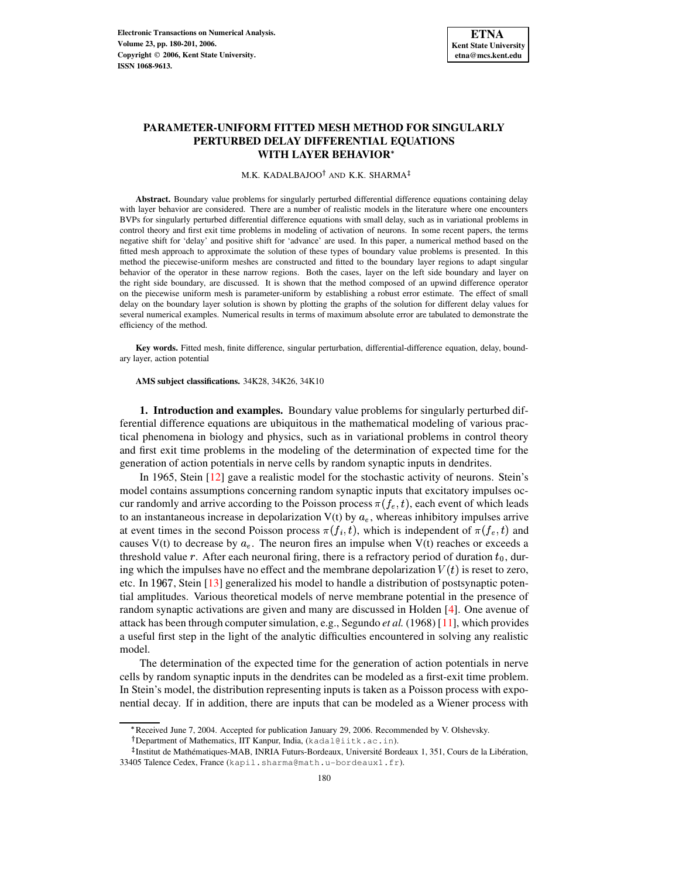

# **PARAMETER-UNIFORM FITTED MESH METHOD FOR SINGULARLY PERTURBED DELAY DIFFERENTIAL EQUATIONS WITH LAYER BEHAVIOR**

### M.K. KADALBAJOO<sup>†</sup> AND K.K. SHARMA

**Abstract.** Boundary value problems for singularly perturbed differential difference equations containing delay with layer behavior are considered. There are a number of realistic models in the literature where one encounters BVPs for singularly perturbed differential difference equations with small delay, such as in variational problems in control theory and first exit time problems in modeling of activation of neurons. In some recent papers, the terms negative shift for 'delay' and positive shift for 'advance' are used. In this paper, a numerical method based on the fitted mesh approach to approximate the solution of these types of boundary value problems is presented. In this method the piecewise-uniform meshes are constructed and fitted to the boundary layer regions to adapt singular behavior of the operator in these narrow regions. Both the cases, layer on the left side boundary and layer on the right side boundary, are discussed. It is shown that the method composed of an upwind difference operator on the piecewise uniform mesh is parameter-uniform by establishing a robust error estimate. The effect of small delay on the boundary layer solution is shown by plotting the graphs of the solution for different delay values for several numerical examples. Numerical results in terms of maximum absolute error are tabulated to demonstrate the efficiency of the method.

**Key words.** Fitted mesh, finite difference, singular perturbation, differential-difference equation, delay, boundary layer, action potential

## **AMS subject classifications.** 34K28, 34K26, 34K10

**1. Introduction and examples.** Boundary value problems for singularly perturbed differential difference equations are ubiquitous in the mathematical modeling of various practical phenomena in biology and physics, such as in variational problems in control theory and first exit time problems in the modeling of the determination of expected time for the generation of action potentials in nerve cells by random synaptic inputs in dendrites.

In 1965, Stein [\[12\]](#page-20-0) gave a realistic model for the stochastic activity of neurons. Stein's model contains assumptions concerning random synaptic inputs that excitatory impulses occur randomly and arrive according to the Poisson process  $\pi(f_e,t)$ , each event of which leads to an instantaneous increase in depolarization  $V(t)$  by  $a_e$ , whereas inhibitory impulses arrive at event times in the second Poisson process  $\pi(f_i, t)$ , which is independent of  $\pi(f_e, t)$  and causes V(t) to decrease by  $a_e$ . The neuron fires an impulse when V(t) reaches or exceeds a threshold value r. After each neuronal firing, there is a refractory period of duration  $t_0$ , during which the impulses have no effect and the membrane depolarization  $V(t)$  is reset to zero, etc. In 1967, Stein [\[13\]](#page-20-1) generalized his model to handle a distribution of postsynaptic potential amplitudes. Various theoretical models of nerve membrane potential in the presence of random synaptic activations are given and many are discussed in Holden [\[4\]](#page-18-0). One avenue of attack has been through computersimulation, e.g., Segundo *et al.* (1968) [\[11\]](#page-20-2), which provides a useful first step in the light of the analytic difficulties encountered in solving any realistic model.

The determination of the expected time for the generation of action potentials in nerve cells by random synaptic inputs in the dendrites can be modeled as a first-exit time problem. In Stein's model, the distribution representing inputs is taken as a Poisson process with exponential decay. If in addition, there are inputs that can be modeled as a Wiener process with

<sup>\*</sup> Received June 7, 2004. Accepted for publication January 29, 2006. Recommended by V. Olshevsky.

Department of Mathematics, IIT Kanpur, India, (kadal@iitk.ac.in).

<sup>&</sup>lt;sup>‡</sup> Institut de Mathématiques-MAB, INRIA Futurs-Bordeaux, Université Bordeaux 1, 351, Cours de la Libération, 33405 Talence Cedex, France (kapil.sharma@math.u-bordeaux1.fr).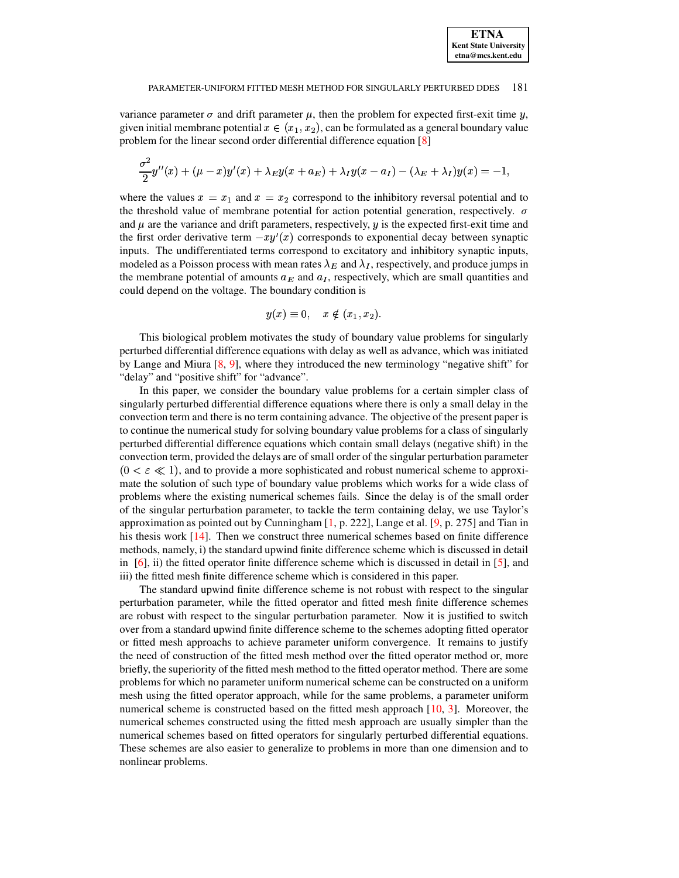variance parameter  $\sigma$  and drift parameter  $\mu$ , then the problem for expected first-exit time  $y$ , given initial membrane potential  $x \in (x_1, x_2)$ , can be formulated as a general boundary value problem for the linear second order differential difference equation [\[8\]](#page-19-0)

$$
\frac{\sigma^2}{2}y''(x) + (\mu - x)y'(x) + \lambda_E y(x + a_E) + \lambda_I y(x - a_I) - (\lambda_E + \lambda_I)y(x) = -1,
$$

where the values  $x = x_1$  and  $x = x_2$  correspond to the inhibitory reversal potential and to the threshold value of membrane potential for action potential generation, respectively.  $\sigma$ and  $\mu$  are the variance and drift parameters, respectively,  $\eta$  is the expected first-exit time and the first order derivative term  $-xy'(x)$  corresponds to exponential decay between synaptic inputs. The undifferentiated terms correspond to excitatory and inhibitory synaptic inputs, modeled as a Poisson process with mean rates  $\lambda_E$  and  $\lambda_I$ , respectively, and produce jumps in the membrane potential of amounts  $a_E$  and  $a_I$ , respectively, which are small quantities and could depend on the voltage. The boundary condition is

$$
y(x) \equiv 0, \quad x \notin (x_1, x_2).
$$

This biological problem motivates the study of boundary value problems for singularly perturbed differential difference equations with delay as well as advance, which was initiated by Lange and Miura [\[8,](#page-19-0) [9\]](#page-19-1), where they introduced the new terminology "negative shift" for "delay" and "positive shift" for "advance".

In this paper, we consider the boundary value problems for a certain simpler class of singularly perturbed differential difference equations where there is only a small delay in the convection term and there is no term containing advance. The objective of the present paper is to continue the numerical study for solving boundary value problems for a class of singularly perturbed differential difference equations which contain small delays (negative shift) in the convection term, provided the delays are of small order of the singular perturbation parameter  $(0 < \varepsilon \ll 1)$ , and to provide a more sophisticated and robust numerical scheme to approximate the solution of such type of boundary value problems which works for a wide class of problems where the existing numerical schemes fails. Since the delay is of the small order of the singular perturbation parameter, to tackle the term containing delay, we use Taylor's approximation as pointed out by Cunningham  $[1, p. 222]$  $[1, p. 222]$ , Lange et al.  $[9, p. 275]$  $[9, p. 275]$  and Tian in his thesis work [\[14\]](#page-20-3). Then we construct three numerical schemes based on finite difference methods, namely, i) the standard upwind finite difference scheme which is discussed in detail in  $[6]$ , ii) the fitted operator finite difference scheme which is discussed in detail in  $[5]$ , and iii) the fitted mesh finite difference scheme which is considered in this paper.

The standard upwind finite difference scheme is not robust with respect to the singular perturbation parameter, while the fitted operator and fitted mesh finite difference schemes are robust with respect to the singular perturbation parameter. Now it is justified to switch over from a standard upwind finite difference scheme to the schemes adopting fitted operator or fitted mesh approachs to achieve parameter uniform convergence. It remains to justify the need of construction of the fitted mesh method over the fitted operator method or, more briefly, the superiority of the fitted mesh method to the fitted operator method. There are some problems for which no parameter uniform numerical scheme can be constructed on a uniform mesh using the fitted operator approach, while for the same problems, a parameter uniform numerical scheme is constructed based on the fitted mesh approach [\[10,](#page-20-4) [3\]](#page-18-3). Moreover, the numerical schemes constructed using the fitted mesh approach are usually simpler than the numerical schemes based on fitted operators for singularly perturbed differential equations. These schemes are also easier to generalize to problems in more than one dimension and to nonlinear problems.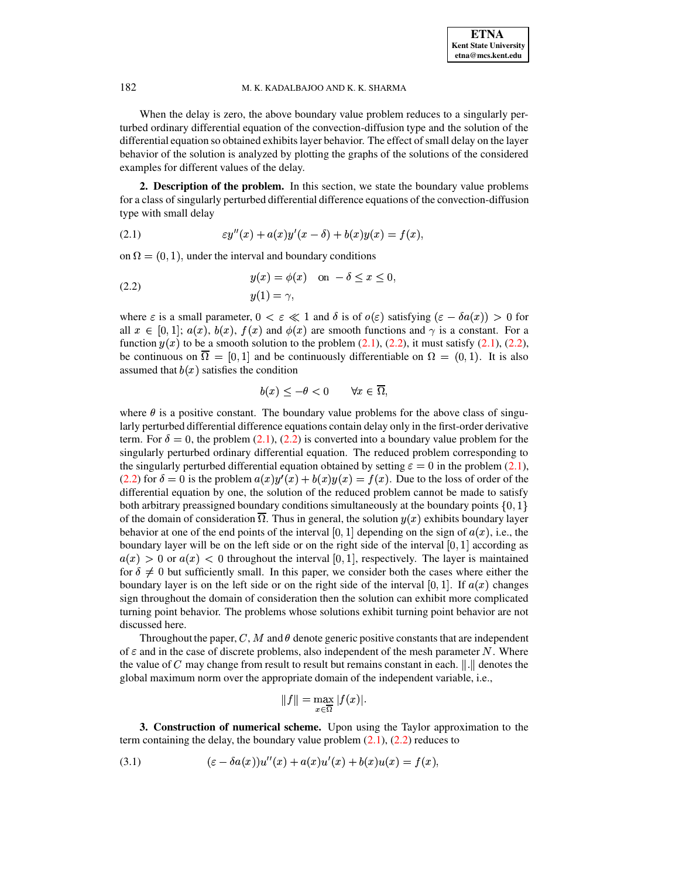When the delay is zero, the above boundary value problem reduces to a singularly perturbed ordinary differential equation of the convection-diffusion type and the solution of the differential equation so obtained exhibits layer behavior. The effect of small delay on the layer behavior of the solution is analyzed by plotting the graphs of the solutions of the considered examples for different values of the delay.

**2. Description of the problem.** In this section, we state the boundary value problems for a class of singularly perturbed differential difference equations of the convection-diffusion type with small delay

<span id="page-2-0"></span>(2.1) 
$$
\varepsilon y''(x) + a(x)y'(x - \delta) + b(x)y(x) = f(x),
$$

on  $\Omega = (0, 1)$ , under the interval and boundary conditions

<span id="page-2-1"></span>(2.2) 
$$
y(x) = \phi(x) \quad \text{on } -\delta \le x \le 0,
$$

$$
y(1) = \gamma,
$$

where  $\varepsilon$  is a small parameter,  $0 < \varepsilon \ll 1$  and  $\delta$  is of  $o(\varepsilon)$  satisfying  $(\varepsilon - \delta a(x)) > 0$  for all  $x \in [0,1]$ ;  $a(x)$ ,  $b(x)$ ,  $f(x)$  and  $\phi(x)$  are smooth functions and  $\gamma$  is a constant. For a function  $y(x)$  to be a smooth solution to the problem  $(2.1)$ ,  $(2.2)$ , it must satisfy  $(2.1)$ ,  $(2.2)$ , be continuous on  $\Omega = [0, 1]$  and be continuously differentiable on  $\Omega = (0, 1)$ . It is also assumed that  $b(x)$  satisfies the condition

$$
b(x) < -\theta < 0 \qquad \forall x \in \overline{\Omega},
$$

where  $\theta$  is a positive constant. The boundary value problems for the above class of singularly perturbed differential difference equations contain delay only in the first-order derivative term. For  $\delta = 0$ , the problem [\(2.1\)](#page-2-0), [\(2.2\)](#page-2-1) is converted into a boundary value problem for the singularly perturbed ordinary differential equation. The reduced problem corresponding to the singularly perturbed differential equation obtained by setting  $\varepsilon = 0$  in the problem [\(2.1\)](#page-2-0), [\(2.2\)](#page-2-1) for  $\delta = 0$  is the problem  $a(x)y'(x) + b(x)y(x) = f(x)$ . Due to the loss of order of the differential equation by one, the solution of the reduced problem cannot be made to satisfy both arbitrary preassigned boundary conditions simultaneously at the boundary points  $\{0, 1\}$ of the domain of consideration  $\Omega$ . Thus in general, the solution  $y(x)$  exhibits boundary layer behavior at one of the end points of the interval [0, 1] depending on the sign of  $a(x)$ , i.e., the boundary layer will be on the left side or on the right side of the interval  $[0, 1]$  according as  $a(x) > 0$  or  $a(x) < 0$  throughout the interval [0, 1], respectively. The layer is maintained for  $\delta \neq 0$  but sufficiently small. In this paper, we consider both the cases where either the boundary layer is on the left side or on the right side of the interval [0, 1]. If  $a(x)$  changes sign throughout the domain of consideration then the solution can exhibit more complicated turning point behavior. The problems whose solutions exhibit turning point behavior are not discussed here.

Throughout the paper, C, M and  $\theta$  denote generic positive constants that are independent of  $\varepsilon$  and in the case of discrete problems, also independent of the mesh parameter N. Where the value of C may change from result to result but remains constant in each.  $\|.\|$  denotes the global maximum norm over the appropriate domain of the independent variable, i.e.,

$$
||f|| = \max_{x \in \overline{\Omega}} |f(x)|.
$$

**3. Construction of numerical scheme.** Upon using the Taylor approximation to the term containing the delay, the boundary value problem  $(2.1)$ ,  $(2.2)$  reduces to

<span id="page-2-2"></span>(3.1) 
$$
(\varepsilon - \delta a(x))u''(x) + a(x)u'(x) + b(x)u(x) = f(x),
$$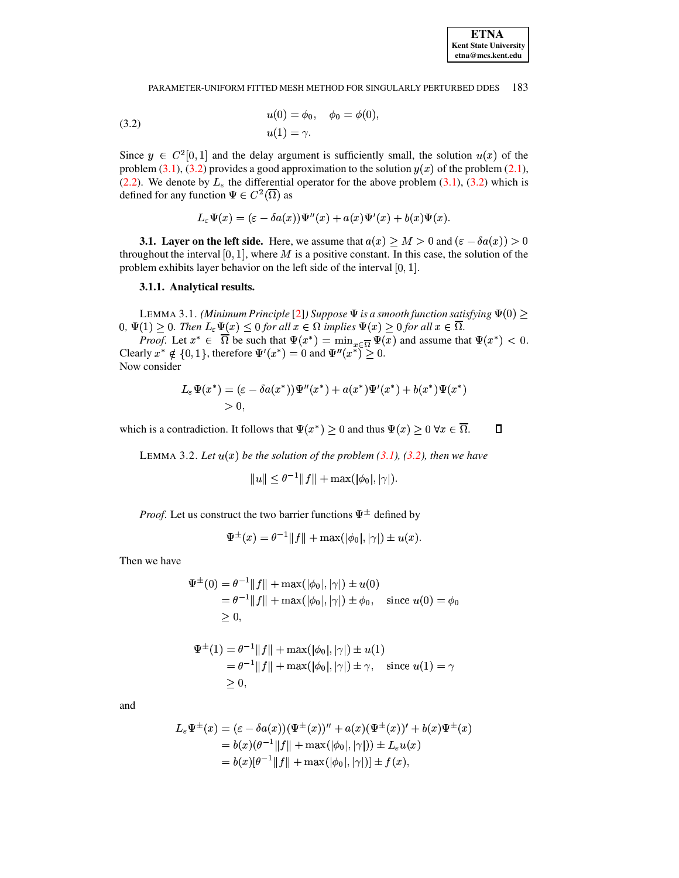<span id="page-3-0"></span>(3.2) 
$$
u(0) = \phi_0, \quad \phi_0 = \phi(0), u(1) = \gamma.
$$

Since  $y \in C^2[0,1]$  and the delay argument is sufficiently small, the solution  $u(x)$  of the problem [\(3.1\)](#page-2-2), [\(3.2\)](#page-3-0) provides a good approximation to the solution  $y(x)$  of the problem [\(2.1\)](#page-2-0), [\(2.2\)](#page-2-1). We denote by  $L_{\varepsilon}$  the differential operator for the above problem [\(3.1\)](#page-2-2), [\(3.2\)](#page-3-0) which is defined for any function  $\Psi \in C^2(\Omega)$  as

$$
L_\varepsilon \Psi(x) = (\varepsilon - \delta a(x)) \Psi''(x) + a(x) \Psi'(x) + b(x) \Psi(x).
$$

**3.1. Layer on the left side.** Here, we assume that  $a(x) \ge M > 0$  and  $(\varepsilon - \delta a(x)) > 0$ throughout the interval  $[0, 1]$ , where M is a positive constant. In this case, the solution of the problem exhibits layer behavior on the left side of the interval  $[0, 1]$ .

# **3.1.1. Analytical results.**

LEMMA 3.1. *(Minimum Principle* [\[2\]](#page-18-4)*) Suppose*  $\Psi$  *is a smooth function satisfying*  $\Psi(0) \geq$  $0, \Psi(1) \geq 0$ . Then  $L_{\varepsilon} \Psi(x) \leq 0$  for all  $x \in \Omega$  implies  $\Psi(x) \geq 0$  for all  $x \in \Omega$ .

*Proof.* Let  $x^* \in \Omega$  be such that  $\Psi(x^*) = \min_{x \in \overline{\Omega}} \Psi(x)$  and assume that  $\Psi(x^*) < 0$ . Clearly  $x^* \notin \{0, 1\}$ , therefore  $\Psi'(x^*) = 0$  and  $\Psi''(x^*) \geq 0$ .

Now consider

$$
L_{\varepsilon}\Psi(x^*) = (\varepsilon - \delta a(x^*))\Psi''(x^*) + a(x^*)\Psi'(x^*) + b(x^*)\Psi(x^*)
$$
  
> 0,

<span id="page-3-1"></span>which is a contradiction. It follows that  $\Psi(x^*) \geq 0$  and thus  $\Psi(x) \geq 0 \,\forall x \in \Omega$ .

LEMMA 3.2. Let  $u(x)$  be the solution of the problem  $(3.1)$ ,  $(3.2)$ , then we have

$$
||u|| \leq \theta^{-1}||f|| + \max(|\phi_0|, |\gamma|).
$$

*Proof.* Let us construct the two barrier functions  $\Psi^{\pm}$  defined by

$$
\Psi^{\pm}(x) = \theta^{-1} ||f|| + \max(|\phi_0|, |\gamma|) \pm u(x).
$$

Then we have

$$
\Psi^{\pm}(0) = \theta^{-1} ||f|| + \max(|\phi_0|, |\gamma|) \pm u(0)
$$
  
=  $\theta^{-1} ||f|| + \max(|\phi_0|, |\gamma|) \pm \phi_0$ , since  $u(0) = \phi_0$   
 $\geq 0$ ,

$$
\Psi^{\pm}(1) = \theta^{-1} ||f|| + \max(|\phi_0|, |\gamma|) \pm u(1) \n= \theta^{-1} ||f|| + \max(|\phi_0|, |\gamma|) \pm \gamma, \text{ since } u(1) = \gamma \n\ge 0,
$$

and

$$
L_{\varepsilon} \Psi^{\pm}(x) = (\varepsilon - \delta a(x))(\Psi^{\pm}(x))'' + a(x)(\Psi^{\pm}(x))' + b(x)\Psi^{\pm}(x)
$$
  
=  $b(x)(\theta^{-1}||f|| + \max(|\phi_0|, |\gamma|)) \pm L_{\varepsilon} u(x)$   
=  $b(x)[\theta^{-1}||f|| + \max(|\phi_0|, |\gamma|)] \pm f(x),$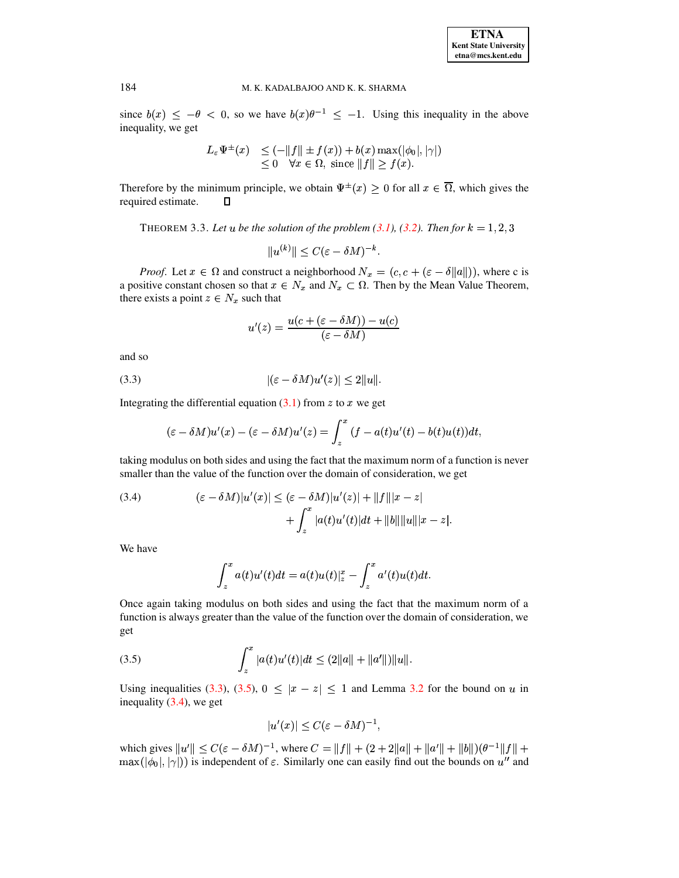since  $b(x) \leq -\theta < 0$ , so we have  $b(x)\theta^{-1} \leq -1$ . Using this inequality in the above inequality, we get

$$
L_{\varepsilon} \Psi^{\pm}(x) \leq (-\|f\| \pm f(x)) + b(x) \max(|\phi_0|, |\gamma|)
$$
  
\n
$$
\leq 0 \quad \forall x \in \Omega, \text{ since } \|f\| \geq f(x).
$$

<span id="page-4-3"></span>Therefore by the minimum principle, we obtain  $\Psi^{\pm}(x) \geq 0$  for all  $x \in \Omega$ , which gives the required estimate.  $\Box$ 

THEOREM 3.3. Let  $u$  be the solution of the problem  $(3.1)$ ,  $(3.2)$ *. Then for*  $k = 1, 2, 3$ 

$$
||u^{(k)}|| \leq C(\varepsilon - \delta M)^{-k}.
$$

*Proof.* Let  $x \in \Omega$  and construct a neighborhood  $N_x = (c, c + (\varepsilon - \delta ||a||))$ , where c is a positive constant chosen so that  $x \in N_x$  and  $N_x \subset \Omega$ . Then by the Mean Value Theorem, there exists a point  $z \in N_x$  such that

$$
u'(z)=\frac{u(c+(\varepsilon-\delta M))-u(c)}{(\varepsilon-\delta M)}
$$

and so

$$
|(\varepsilon - \delta M)u'(z)| \le 2||u||.
$$

Integrating the differential equation  $(3.1)$  from z to x we get

<span id="page-4-0"></span>
$$
(\varepsilon - \delta M)u'(x) - (\varepsilon - \delta M)u'(z) = \int_z^x (f - a(t)u'(t) - b(t)u(t))dt,
$$

taking modulus on both sides and using the fact that the maximum norm of a function is never smaller than the value of the function over the domain of consideration, we get

<span id="page-4-2"></span>(3.4) 
$$
(\varepsilon - \delta M)|u'(x)| \leq (\varepsilon - \delta M)|u'(z)| + ||f|||x - z| + \int_{z}^{x} |a(t)u'(t)|dt + ||b||||u|||x - z|.
$$

We have

$$
\int_z^x a(t)u'(t)dt = a(t)u(t)|_z^x - \int_z^x a'(t)u(t)dt.
$$

Once again taking modulus on both sides and using the fact that the maximum norm of a function is always greater than the value of the function over the domain of consideration, we get

<span id="page-4-1"></span>(3.5) 
$$
\int_{z}^{x} |a(t)u'(t)|dt \leq (2||a|| + ||a'||)||u||.
$$

Using inequalities [\(3.3\)](#page-4-0), [\(3.5\)](#page-4-1),  $0 \le |x - z| \le 1$  and Lemma [3.2](#page-3-1) for the bound on u in inequality  $(3.4)$ , we get

$$
|u'(x)|\leq C(\varepsilon-\delta M)^{-1},
$$

which gives  $||u'|| \leq C(\varepsilon - \delta M)^{-1}$ , where  $C = ||f|| + (2 + 2||a|| + ||a'|| + ||b||)(\theta^{-1}||f|| +$  $\max(|\phi_0|, |\gamma|)$  is independent of  $\varepsilon$ . Similarly one can easily find out the bounds on  $u''$  and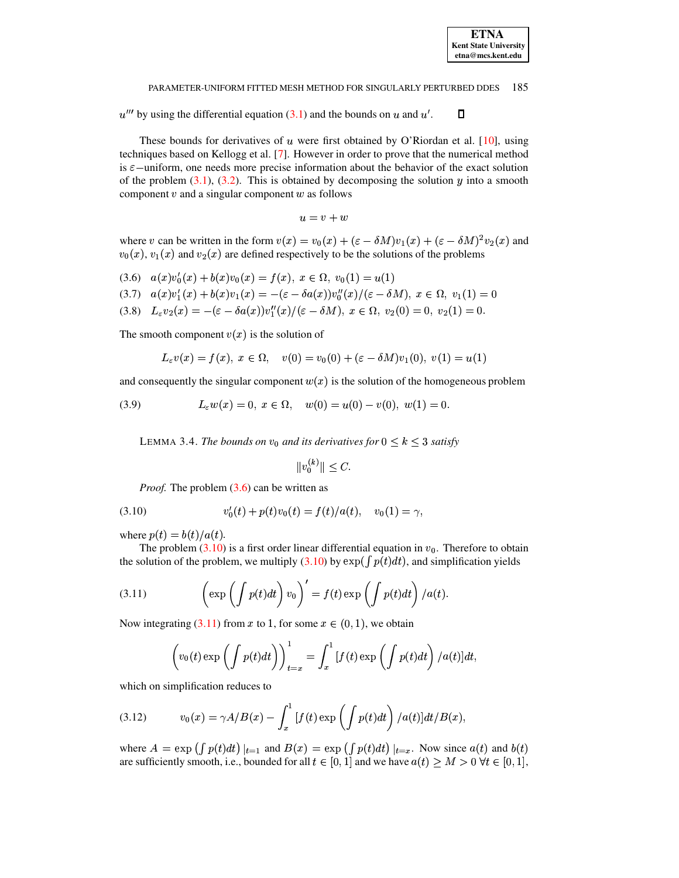$u^{\prime\prime\prime}$  by using the differential equation [\(3.1\)](#page-2-2) and the bounds on u and u'.  $\Box$ 

These bounds for derivatives of  $u$  were first obtained by O'Riordan et al. [\[10\]](#page-20-4), using techniques based on Kellogg et al. [\[7\]](#page-19-3). However in order to prove that the numerical method is  $\varepsilon$  –uniform, one needs more precise information about the behavior of the exact solution of the problem  $(3.1)$ ,  $(3.2)$ . This is obtained by decomposing the solution  $y$  into a smooth component  $v$  and a singular component  $w$  as follows

$$
u=v+w
$$

where v can be written in the form  $v(x) = v_0(x) + (\varepsilon - \delta M)v_1(x) + (\varepsilon - \delta M)^2v_2(x)$  and  $v_0(x)$ ,  $v_1(x)$  and  $v_2(x)$  are defined respectively to be the solutions of the problems

<span id="page-5-0"></span> $(a,6)$   $a(x)v'_0(x) + b(x)v_0(x) = f(x), x \in \Omega, v_0(1) = u(1)$  $(3.7)$   $a(x)v'_1(x) + b(x)v_1(x) = -(\varepsilon - \delta a(x))v''_0(x)/(\varepsilon - \delta M), x \in \Omega, v_1(1) = 0$ (3.8)  $L_{\varepsilon}v_2(x) = -(\varepsilon - \delta a(x))v''_1(x)/(\varepsilon - \delta M), x \in \Omega, v_2(0) = 0, v_2(1) = 0.$ 

The smooth component  $v(x)$  is the solution of

$$
L_{\varepsilon}v(x) = f(x), \ x \in \Omega, \quad v(0) = v_0(0) + (\varepsilon - \delta M)v_1(0), \ v(1) = u(1)
$$

and consequently the singular component  $w(x)$  is the solution of the homogeneous problem

<span id="page-5-5"></span><span id="page-5-4"></span>(3.9) 
$$
L_{\varepsilon}w(x) = 0, \ x \in \Omega, \quad w(0) = u(0) - v(0), \ w(1) = 0.
$$

LEMMA 3.4. *The bounds on*  $v_0$  *and its derivatives for*  $0 \leq k \leq 3$  *satisfy* 

$$
||v_0^{(k)}|| \leq C.
$$

<span id="page-5-1"></span>*Proof.* The problem  $(3.6)$  can be written as

(3.10) 
$$
v'_0(t) + p(t)v_0(t) = f(t)/a(t), \quad v_0(1) = \gamma,
$$

where  $p(t) = b(t)/a(t)$ .

The problem  $(3.10)$  is a first order linear differential equation in  $v_0$ . Therefore to obtain the solution of the problem, we multiply [\(3.10\)](#page-5-1) by  $\exp(\int p(t) dt)$ , and simplification yields

<span id="page-5-2"></span>(3.11) 
$$
\left(\exp\left(\int p(t)dt\right)v_0\right)' = f(t)\exp\left(\int p(t)dt\right)/a(t).
$$

Now integrating [\(3.11\)](#page-5-2) from x to 1, for some  $x \in (0, 1)$ , we obtain

$$
\left(v_0(t)\exp\left(\int p(t)dt\right)\right)_{t=x}^1 = \int_x^1 \left[f(t)\exp\left(\int p(t)dt\right)/a(t)\right]dt,
$$

which on simplification reduces to

<span id="page-5-3"></span>(3.12) 
$$
v_0(x) = \gamma A/B(x) - \int_x^1 [f(t) \exp\left(\int p(t) dt\right) / a(t)] dt / B(x),
$$

where  $A = \exp \left( \int p(t) dt \right) \vert_{t=1}$  and  $B(x) = \exp \left( \int p(t) dt \right) \vert_{t=x}$ . Now since  $a(t)$  and  $b(t)$ are sufficiently smooth, i.e., bounded for all  $t \in [0, 1]$  and we have  $a(t) \geq M > 0$   $\forall t \in [0, 1]$ ,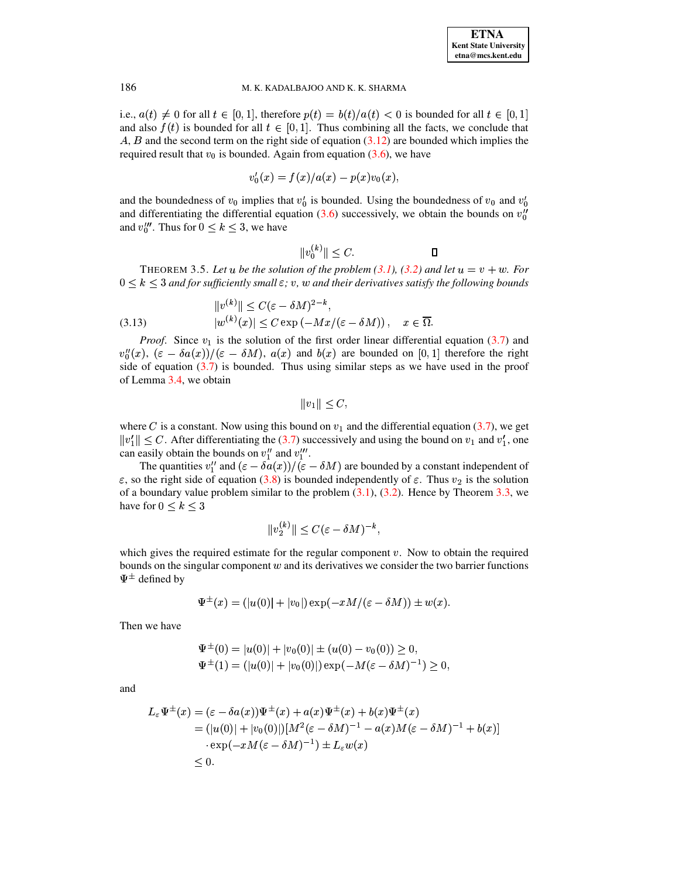i.e.,  $a(t) \neq 0$  for all  $t \in [0,1]$ , therefore  $p(t) = b(t)/a(t) < 0$  is bounded for all  $t \in [0,1]$ and also  $f(t)$  is bounded for all  $t \in [0,1]$ . Thus combining all the facts, we conclude that  $\hat{A}$ ,  $\hat{B}$  and the second term on the right side of equation [\(3.12\)](#page-5-3) are bounded which implies the required result that  $v_0$  is bounded. Again from equation [\(3.6\)](#page-5-0), we have

$$
v_0'(x)=f(x)/a(x)-p(x)v_0(x),\qquad
$$

and the boundedness of  $v_0$  implies that  $v'_0$  is bounded. Using the boundedness of  $v_0$  and  $v'_0$ and differentiating the differential equation [\(3.6\)](#page-5-0) successively, we obtain the bounds on  $v_0''$ and  $v_0^{\prime\prime\prime}$ . Thus for  $0 \le k \le 3$ , we have

$$
||v_0^{(k)}|| \le C.
$$

<span id="page-6-0"></span>THEOREM 3.5. Let u be the solution of the problem  $(3.1)$ ,  $(3.2)$  and let  $u = v + w$ . For  $0 \leq k \leq 3$  and for sufficiently small  $\varepsilon$ ;  $v$ ,  $w$  and their derivatives satisfy the following bounds

<span id="page-6-1"></span>(3.13) 
$$
||v^{(k)}|| \leq C(\varepsilon - \delta M)^{2-k},
$$

$$
|w^{(k)}(x)| \leq C \exp(-Mx/(\varepsilon - \delta M)), \quad x \in \overline{\Omega}.
$$

*Proof.* Since  $v_1$  is the solution of the first order linear differential equation [\(3.7\)](#page-5-0) and  $v_0''(x)$ ,  $(\varepsilon - \delta a(x))/(\varepsilon - \delta M)$ ,  $a(x)$  and  $b(x)$  are bounded on [0, 1] therefore the right side of equation  $(3.7)$  is bounded. Thus using similar steps as we have used in the proof of Lemma [3.4,](#page-5-4) we obtain

 $||v_1|| < C,$ 

where C is a constant. Now using this bound on  $v_1$  and the differential equation [\(3.7\)](#page-5-0), we get  $||v_1|| \leq C$ . After differentiating the [\(3.7\)](#page-5-0) successively and using the bound on  $v_1$  and  $v_1'$ , one can easily obtain the bounds on  $v_1''$  and  $v_1'''$ .

The quantities  $v''_1$  and  $(\varepsilon - \delta a(x))/( \varepsilon - \delta M)$  are bounded by a constant independent of , so the right side of equation [\(3.8\)](#page-5-0) is bounded independently of  $\varepsilon$ . Thus  $v_2$  is the solution of a boundary value problem similar to the problem  $(3.1)$ ,  $(3.2)$ . Hence by Theorem  $3.3$ , we have for  $0 \leq k \leq 3$ 

$$
||v_2^{(k)}|| \leq C(\varepsilon - \delta M)^{-k},
$$

which gives the required estimate for the regular component  $v$ . Now to obtain the required bounds on the singular component  $w$  and its derivatives we consider the two barrier functions  $\Psi^{\pm}$  defined by

$$
\Psi^{\pm}(x)=(|u(0)|+|v_0|)\exp(-xM/(\varepsilon-\delta M))\pm w(x).
$$

Then we have

$$
\Psi^{\pm}(0) = |u(0)| + |v_0(0)| \pm (u(0) - v_0(0)) \ge 0,\n\Psi^{\pm}(1) = (|u(0)| + |v_0(0)|) \exp(-M(\varepsilon - \delta M)^{-1}) \ge 0,
$$

and

$$
L_{\varepsilon} \Psi^{\pm}(x) = (\varepsilon - \delta a(x)) \Psi^{\pm}(x) + a(x) \Psi^{\pm}(x) + b(x) \Psi^{\pm}(x)
$$
  
\n
$$
= (|u(0)| + |v_0(0)|)[M^2(\varepsilon - \delta M)^{-1} - a(x)M(\varepsilon - \delta M)^{-1} + b(x)]
$$
  
\n
$$
\cdot \exp(-xM(\varepsilon - \delta M)^{-1}) \pm L_{\varepsilon} w(x)
$$
  
\n
$$
\leq 0.
$$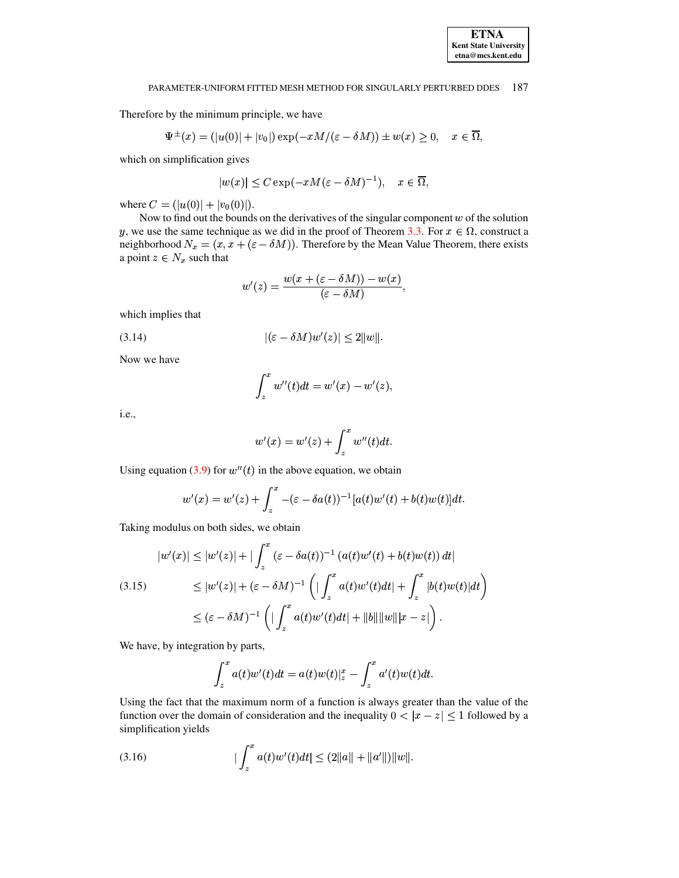Therefore by the minimum principle, we have

$$
\Psi^{\pm}(x)=(|u(0)|+|v_0|)\exp(-xM/(\varepsilon-\delta M))\pm w(x)\geq 0,\quad x\in\overline{\Omega},
$$

which on simplification gives

$$
|w(x)|\leq C\exp(-xM(\varepsilon-\delta M)^{-1}),\quad x\in\overline{\Omega},
$$

where  $C = (|u(0)| + |v_0(0)|)$ .

Now to find out the bounds on the derivatives of the singular component w of the solution y, we use the same technique as we did in the proof of Theorem [3.3.](#page-4-3) For  $x \in \Omega$ , construct a neighborhood  $N_x = (x, x + (\varepsilon - \delta M))$ . Therefore by the Mean Value Theorem, there exists a point  $z \in N_x$  such that

$$
w'(z)=\frac{w(x+(\varepsilon-\delta M))-w(x)}{(\varepsilon-\delta M)},
$$

which implies that

<span id="page-7-0"></span>
$$
|(\varepsilon - \delta M)w'(z)| \le 2||w||.
$$

Now we have

$$
\int_z^x w''(t)dt = w'(x) - w'(z),
$$

i.e.,

$$
w'(x)=w'(z)+\int_z^x w''(t)dt.
$$

Using equation [\(3.9\)](#page-5-5) for  $w''(t)$  in the above equation, we obtain

$$
w'(x) = w'(z) + \int_z^x -(\varepsilon - \delta a(t))^{-1}[a(t)w'(t) + b(t)w(t)]dt.
$$

Taking modulus on both sides, we obtain

<span id="page-7-2"></span>
$$
|w'(x)| \le |w'(z)| + |\int_z^x (\varepsilon - \delta a(t))^{-1} (a(t)w'(t) + b(t)w(t)) dt|
$$
  
(3.15) 
$$
\le |w'(z)| + (\varepsilon - \delta M)^{-1} \left( |\int_z^x a(t)w'(t)dt| + \int_z^x |b(t)w(t)|dt \right)
$$

$$
\le (\varepsilon - \delta M)^{-1} \left( |\int_z^x a(t)w'(t)dt| + \|b\| \|w\| |x - z| \right).
$$

We have, by integration by parts,

$$
\int_z^x a(t)w'(t)dt = a(t)w(t)|_z^x - \int_z^x a'(t)w(t)dt.
$$

Using the fact that the maximum norm of a function is always greater than the value of the function over the domain of consideration and the inequality  $0<|x-z|\leq 1$  followed by a simplification yields

<span id="page-7-1"></span>(3.16) 
$$
|\int_{z}^{x} a(t)w'(t)dt| \leq (2||a|| + ||a'||)||w||.
$$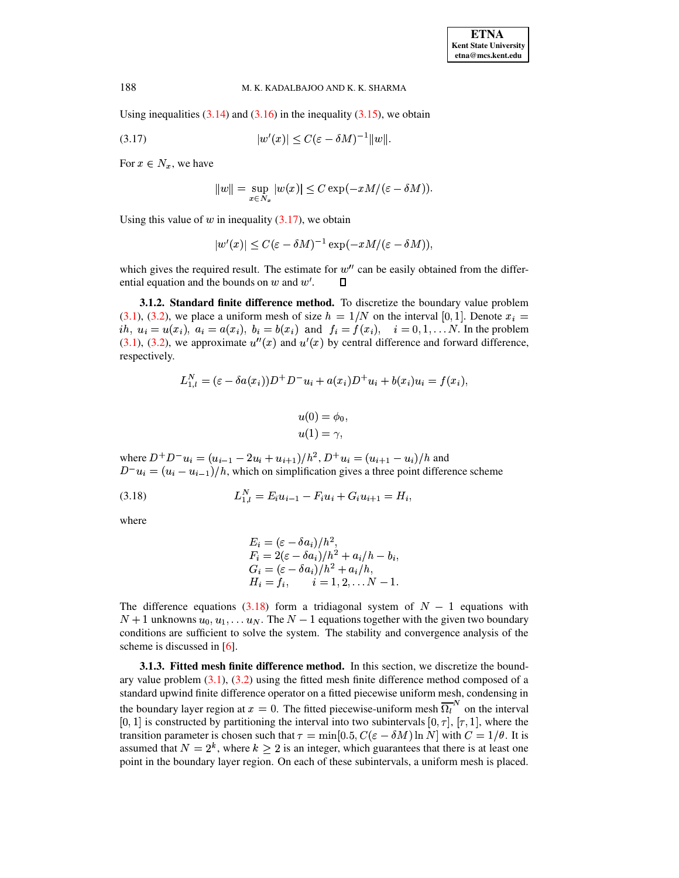Using inequalities  $(3.14)$  and  $(3.16)$  in the inequality  $(3.15)$ , we obtain

<span id="page-8-0"></span>
$$
(3.17)\qquad \qquad |w'(x)| \le C(\varepsilon - \delta M)^{-1}||w||.
$$

For  $x \in N_x$ , we have

$$
||w|| = \sup_{x \in N_x} |w(x)| \leq C \exp(-xM/(\varepsilon - \delta M)).
$$

Using this value of  $w$  in inequality (3.17), we obtain

$$
|w'(x)| \leq C(\varepsilon - \delta M)^{-1} \exp(-xM/(\varepsilon - \delta M)),
$$

which gives the required result. The estimate for  $w''$  can be easily obtained from the differential equation and the bounds on  $w$  and  $w'$ .  $\Box$ 

3.1.2. Standard finite difference method. To discretize the boundary value problem  $(3.1)$ ,  $(3.2)$ , we place a uniform mesh of size  $h = 1/N$  on the interval [0, 1]. Denote  $x_i =$ *ih*,  $u_i = u(x_i)$ ,  $a_i = a(x_i)$ ,  $b_i = b(x_i)$  and  $f_i = f(x_i)$ ,  $i = 0, 1, ... N$ . In the problem  $(3.1)$ ,  $(3.2)$ , we approximate  $u''(x)$  and  $u'(x)$  by central difference and forward difference, respectively.

$$
L_{1,l}^N = (\varepsilon - \delta a(x_i))D^+D^-u_i + a(x_i)D^+u_i + b(x_i)u_i = f(x_i)
$$
  

$$
u(0) = \phi_0,
$$
  

$$
u(1) = \gamma,
$$

where  $D^+D^-u_i = (u_{i-1} - 2u_i + u_{i+1})/h^2$ ,  $D^+u_i = (u_{i+1} - u_i)/h$  and  $D^{-}u_i = (u_i - u_{i-1})/h$ , which on simplification gives a three point difference scheme

<span id="page-8-1"></span>
$$
(3.18) \t\t\t L_{1,l}^N = E_i u_{i-1} - F_i u_i + G_i u_{i+1} = H_i,
$$

where

$$
E_i = (\varepsilon - \delta a_i)/h^2,
$$
  
\n
$$
F_i = 2(\varepsilon - \delta a_i)/h^2 + a_i/h - b_i,
$$
  
\n
$$
G_i = (\varepsilon - \delta a_i)/h^2 + a_i/h,
$$
  
\n
$$
H_i = f_i, \qquad i = 1, 2, \dots N - 1.
$$

The difference equations  $(3.18)$  form a tridiagonal system of  $N - 1$  equations with  $N+1$  unknowns  $u_0, u_1, \ldots u_N$ . The  $N-1$  equations together with the given two boundary conditions are sufficient to solve the system. The stability and convergence analysis of the scheme is discussed in  $[6]$ .

**3.1.3. Fitted mesh finite difference method.** In this section, we discretize the boundary value problem  $(3.1)$ ,  $(3.2)$  using the fitted mesh finite difference method composed of a standard upwind finite difference operator on a fitted piecewise uniform mesh, condensing in the boundary layer region at  $x = 0$ . The fitted piecewise-uniform mesh  $\overline{\Omega_l}^N$  on the interval [0, 1] is constructed by partitioning the interval into two subintervals [0,  $\tau$ ], [ $\tau$ , 1], where the transition parameter is chosen such that  $\tau = \min[0.5, C(\varepsilon - \delta M) \ln N]$  with  $C = 1/\theta$ . It is assumed that  $N = 2^k$ , where  $k \ge 2$  is an integer, which guarantees that there is at least one point in the boundary layer region. On each of these subintervals, a uniform mesh is placed.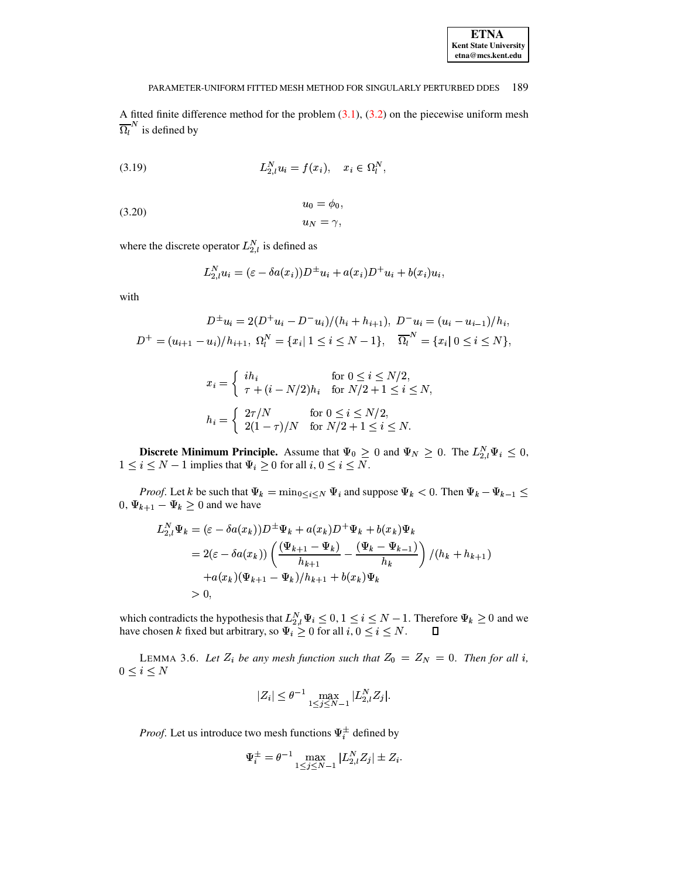| <b>ETNA</b>                  |  |  |
|------------------------------|--|--|
| <b>Kent State University</b> |  |  |
| etna@mcs.kent.edu            |  |  |

A fitted finite difference method for the problem  $(3.1)$ ,  $(3.2)$  on the piecewise uniform mesh  $\overline{\Omega_l}^N$  is defined by

<span id="page-9-0"></span>(3.19) 
$$
L_{2,l}^N u_i = f(x_i), \quad x_i \in \Omega_l^N,
$$

$$
u_0 = \varphi_0,
$$
  
(3.20)  

$$
u_N = \gamma,
$$

where the discrete operator  $L_{2,l}^N$  is defined as

<span id="page-9-1"></span>
$$
L_{2,l}^N u_i = (\varepsilon - \delta a(x_i))D^{\pm} u_i + a(x_i)D^{\pm} u_i + b(x_i)u_i
$$

with

$$
D^{\pm}u_i = 2(D^{\pm}u_i - D^{-}u_i)/(h_i + h_{i+1}), \ D^{-}u_i = (u_i - u_{i-1})/h_i,
$$
  

$$
D^{+} = (u_{i+1} - u_i)/h_{i+1}, \ \Omega_i^{N} = \{x_i | 1 \le i \le N - 1\}, \ \overline{\Omega_i}^{N} = \{x_i | 0 \le i \le N\},
$$

$$
x_i = \begin{cases} i h_i & \text{for } 0 \le i \le N/2, \\ \tau + (i - N/2) h_i & \text{for } N/2 + 1 \le i \le N, \end{cases}
$$
\n
$$
h_i = \begin{cases} 2\tau/N & \text{for } 0 \le i \le N/2, \\ 2(1 - \tau)/N & \text{for } N/2 + 1 \le i \le N. \end{cases}
$$

**Discrete Minimum Principle.** Assume that  $\Psi_0 \ge 0$  and  $\Psi_N \ge 0$ . The  $L_{2,l}^N \Psi_i \le 0$ ,  $1 \le i \le N-1$  implies that  $\Psi_i \ge 0$  for all  $i, 0 \le i \le N$ .

*Proof.* Let k be such that  $\Psi_k = \min_{0 \le i \le N} \Psi_i$  and suppose  $\Psi_k < 0$ . Then  $\Psi_k - \Psi_{k-1} \le \Psi_k$  $0, \Psi_{k+1} - \Psi_k \ge 0$  and we have

$$
L_{2,l}^{N} \Psi_{k} = (\varepsilon - \delta a(x_{k})) D^{\pm} \Psi_{k} + a(x_{k}) D^{+} \Psi_{k} + b(x_{k}) \Psi_{k}
$$
  
= 2( $\varepsilon - \delta a(x_{k})$ )  $\left( \frac{(\Psi_{k+1} - \Psi_{k})}{h_{k+1}} - \frac{(\Psi_{k} - \Psi_{k-1})}{h_{k}} \right) / (h_{k} + h_{k+1})$   
+ $a(x_{k}) (\Psi_{k+1} - \Psi_{k}) / h_{k+1} + b(x_{k}) \Psi_{k}$   
> 0,

which contradicts the hypothesis that  $L_{2,l}^N \Psi_i \leq 0$ ,  $1 \leq i \leq N-1$ . Therefore  $\Psi_k \geq 0$  and we have chosen k fixed but arbitrary, so  $\Psi_i \geq 0$  for all  $i, 0 \leq i \leq N$ .  $\Box$ 

<span id="page-9-2"></span>LEMMA 3.6. Let  $Z_i$  be any mesh function such that  $Z_0 = Z_N = 0$ . Then for all i,  $0 \leq i \leq N$ 

$$
|Z_i| \le \theta^{-1} \max_{1 \le j \le N-1} |L_{2,l}^N Z_j|.
$$

*Proof.* Let us introduce two mesh functions  $\Psi_i^{\pm}$  defined by

$$
\Psi_i^{\pm} = \theta^{-1} \max_{1 \le j \le N-1} |L_{2,l}^N Z_j| \pm Z_i.
$$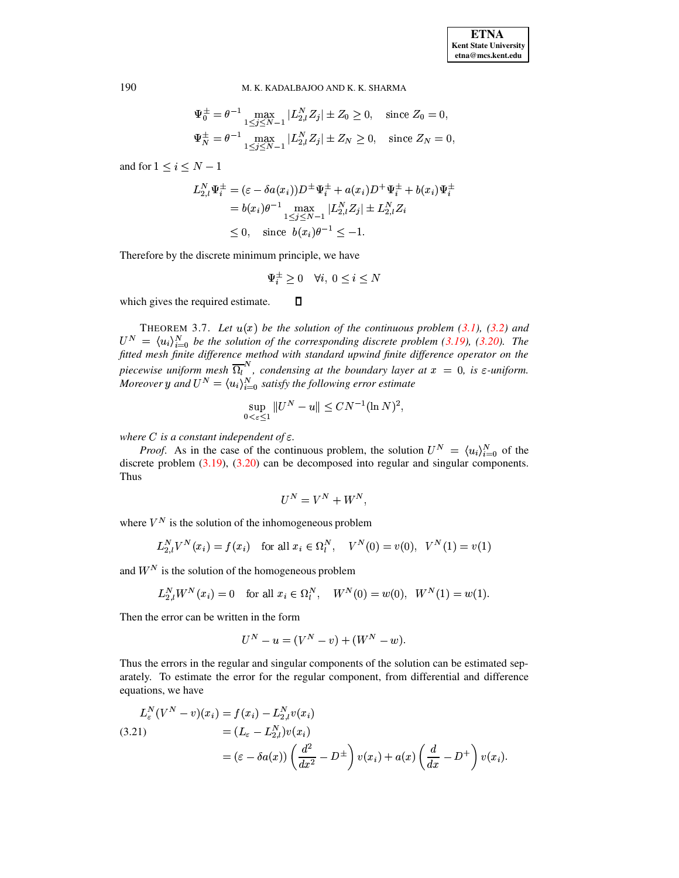$$
\Psi_0^{\pm} = \theta^{-1} \max_{1 \le j \le N-1} |L_{2,l}^N Z_j| \pm Z_0 \ge 0, \quad \text{since } Z_0 = 0,
$$
  

$$
\Psi_N^{\pm} = \theta^{-1} \max_{1 \le j \le N-1} |L_{2,l}^N Z_j| \pm Z_N \ge 0, \quad \text{since } Z_N = 0.
$$

and for  $1 \leq i \leq N-1$ 

$$
L_{2,l}^{N} \Psi_{i}^{\pm} = (\varepsilon - \delta a(x_{i})) D^{\pm} \Psi_{i}^{\pm} + a(x_{i}) D^{\pm} \Psi_{i}^{\pm} + b(x_{i}) \Psi_{i}^{\pm}
$$
  
=  $b(x_{i}) \theta^{-1} \max_{1 \leq j \leq N-1} |L_{2,l}^{N} Z_{j}| \pm L_{2,l}^{N} Z_{i}$   
 $\leq 0$ , since  $b(x_{i}) \theta^{-1} \leq -1$ .

Therefore by the discrete minimum principle, we have

$$
\Psi_i^{\pm} \geq 0 \quad \forall i, \ 0 \leq i \leq N
$$

 $\Box$ which gives the required estimate.

THEOREM 3.7. Let  $u(x)$  be the solution of the continuous problem (3.1), (3.2) and  $U^N = \langle u_i \rangle_{i=0}^N$  be the solution of the corresponding discrete problem (3.19), (3.20). The fitted mesh finite difference method with standard upwind finite difference operator on the piecewise uniform mesh  $\overline{\Omega}_l^N$ , condensing at the boundary layer at  $x = 0$ , is  $\varepsilon$ -uniform.<br>Moreover y and  $U^N = \langle u_i \rangle_{i=0}^N$  satisfy the following error estimate

$$
\sup_{0 < \varepsilon \le 1} \|U^N - u\| \le C N^{-1} (\ln N)^2,
$$

where C is a constant independent of  $\varepsilon$ .

*Proof.* As in the case of the continuous problem, the solution  $U^N = \langle u_i \rangle_{i=0}^N$  of the discrete problem  $(3.19)$ ,  $(3.20)$  can be decomposed into regular and singular components. **Thus** 

$$
U^N = V^N + W^N,
$$

where  $V^N$  is the solution of the inhomogeneous problem

$$
L_{2,l}^N V^N(x_i) = f(x_i) \text{ for all } x_i \in \Omega_l^N, \quad V^N(0) = v(0), \quad V^N(1) = v(1)
$$

and  $W^N$  is the solution of the homogeneous problem

$$
L_{2,l}^N W^N(x_i) = 0 \quad \text{for all } x_i \in \Omega_l^N, \quad W^N(0) = w(0), \ W^N(1) = w(1).
$$

Then the error can be written in the form

$$
U^N - u = (V^N - v) + (W^N - w).
$$

Thus the errors in the regular and singular components of the solution can be estimated separately. To estimate the error for the regular component, from differential and difference equations, we have

<span id="page-10-0"></span>
$$
L_{\varepsilon}^{N}(V^{N}-v)(x_{i}) = f(x_{i}) - L_{2,i}^{N}v(x_{i})
$$
  
\n(3.21) 
$$
= (L_{\varepsilon} - L_{2,i}^{N})v(x_{i})
$$

$$
= (\varepsilon - \delta a(x)) \left( \frac{d^{2}}{dx^{2}} - D^{\pm} \right) v(x_{i}) + a(x) \left( \frac{d}{dx} - D^{+} \right) v(x_{i}).
$$

190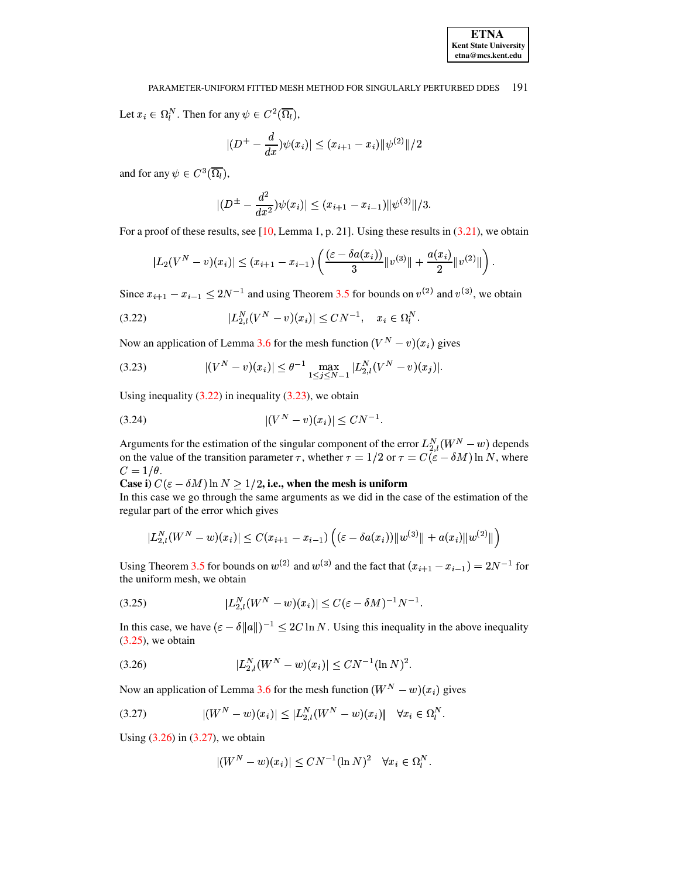Let  $x_i \in \Omega_l^N$ . Then for any  $\psi \in C^2(\overline{\Omega_l})$ ,

$$
|(D^{+} - \frac{d}{dx})\psi(x_i)| \leq (x_{i+1} - x_i) \|\psi^{(2)}\|/2
$$

and for any  $\psi \in C^3(\overline{\Omega_l})$ ,

$$
|(D^{\pm}-\frac{d^2}{dx^2})\psi(x_i)|\leq (x_{i+1}-x_{i-1})\|\psi^{(3)}\|/3.
$$

For a proof of these results, see  $[10, \text{Lemma 1}, p. 21]$ . Using these results in  $(3.21)$ , we obtain

$$
|L_2(V^N - v)(x_i)| \le (x_{i+1} - x_{i-1}) \left( \frac{(\varepsilon - \delta a(x_i))}{3} ||v^{(3)}|| + \frac{a(x_i)}{2} ||v^{(2)}|| \right)
$$

Since  $x_{i+1} - x_{i-1} \leq 2N^{-1}$  and using Theorem 3.5 for bounds on  $v^{(2)}$  and  $v^{(3)}$ , we obtain

<span id="page-11-0"></span>(3.22) 
$$
|L_{2,l}^N(V^N - v)(x_i)| \leq CN^{-1}, \quad x_i \in \Omega_l^N.
$$

Now an application of Lemma 3.6 for the mesh function  $(V^N - v)(x_i)$  gives

<span id="page-11-1"></span>
$$
(3.23) \qquad |(V^N - v)(x_i)| \leq \theta^{-1} \max_{1 \leq j \leq N-1} |L_{2,l}^N(V^N - v)(x_j)|.
$$

Using inequality  $(3.22)$  in inequality  $(3.23)$ , we obtain

<span id="page-11-5"></span>
$$
|(V^N - v)(x_i)| \leq C N^{-1}
$$

Arguments for the estimation of the singular component of the error  $L_{2,l}^N(W^N - w)$  depends<br>on the value of the transition parameter  $\tau$ , whether  $\tau = 1/2$  or  $\tau = C(\varepsilon - \delta M) \ln N$ , where  $C=1/\theta$ .

Case i)  $C(\varepsilon - \delta M) \ln N > 1/2$ , i.e., when the mesh is uniform

In this case we go through the same arguments as we did in the case of the estimation of the regular part of the error which gives

$$
|L_{2,l}^N(W^N - w)(x_i)| \le C(x_{i+1} - x_{i-1}) \left( (\varepsilon - \delta a(x_i)) ||w^{(3)}|| + a(x_i) ||w^{(2)}|| \right)
$$

Using Theorem 3.5 for bounds on  $w^{(2)}$  and  $w^{(3)}$  and the fact that  $(x_{i+1} - x_{i-1}) = 2N^{-1}$  for the uniform mesh, we obtain

<span id="page-11-2"></span>(3.25) 
$$
|L_{2,l}^N(W^N - w)(x_i)| \le C(\varepsilon - \delta M)^{-1} N^{-1}.
$$

In this case, we have  $(\varepsilon - \delta ||a||)^{-1} \leq 2C \ln N$ . Using this inequality in the above inequality  $(3.25)$ , we obtain

<span id="page-11-3"></span>
$$
(3.26) \t\t\t |L_{2,l}^N(W^N - w)(x_i)| \leq CN^{-1}(\ln N)^2.
$$

Now an application of Lemma 3.6 for the mesh function  $(W^N - w)(x_i)$  gives

<span id="page-11-4"></span>
$$
(3.27) \qquad |(W^N - w)(x_i)| \le |L_{2,l}^N (W^N - w)(x_i)| \quad \forall x_i \in \Omega_l^N.
$$

Using  $(3.26)$  in  $(3.27)$ , we obtain

$$
|(W^N - w)(x_i)| \leq C N^{-1} (\ln N)^2 \quad \forall x_i \in \Omega_i^N.
$$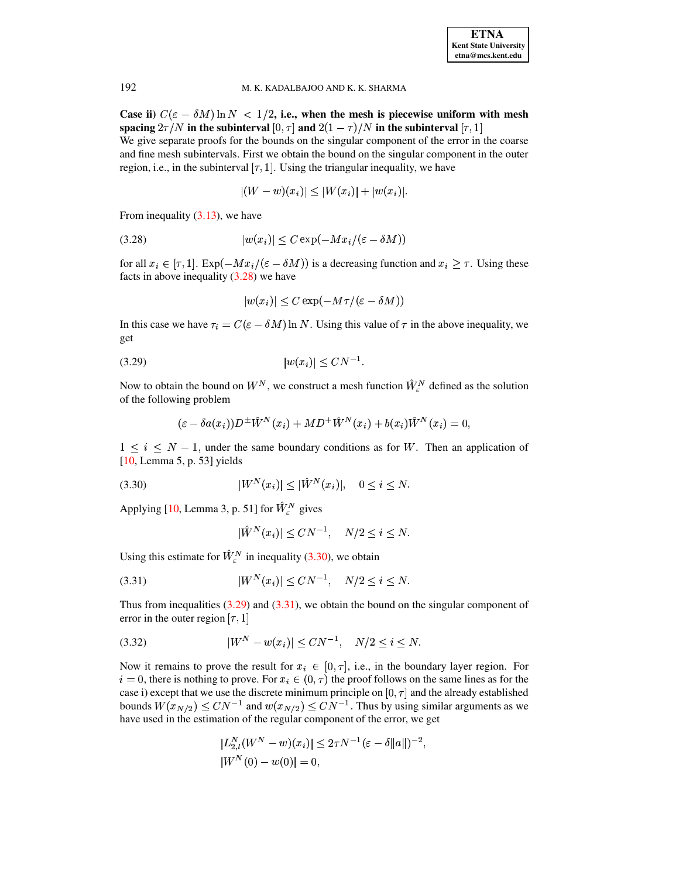Case ii)  $C(\varepsilon - \delta M) \ln N < 1/2$ , i.e., when the mesh is piecewise uniform with mesh spacing  $2\tau/N$  in the subinterval  $[0, \tau]$  and  $2(1 - \tau)/N$  in the subinterval  $[\tau, 1]$ We give separate proofs for the bounds on the singular component of the error in the coarse and fine mesh subintervals. First we obtain the bound on the singular component in the outer region, i.e., in the subinterval  $[\tau, 1]$ . Using the triangular inequality, we have

$$
|(W - w)(x_i)| \le |W(x_i)| + |w(x_i)|.
$$

From inequality  $(3.13)$ , we have

<span id="page-12-0"></span>
$$
(3.28) \t |w(x_i)| \le C \exp(-Mx_i/(\varepsilon - \delta M))
$$

for all  $x_i \in [\tau, 1]$ .  $Exp(-Mx_i/(\varepsilon - \delta M))$  is a decreasing function and  $x_i \geq \tau$ . Using these facts in above inequality  $(3.28)$  we have

$$
|w(x_i)| \le C \exp(-M\tau/(\varepsilon - \delta M))
$$

In this case we have  $\tau_i = C(\epsilon - \delta M) \ln N$ . Using this value of  $\tau$  in the above inequality, we get

$$
(3.29) \t |w(x_i)| \le CN^{-1}
$$

Now to obtain the bound on  $W^N$ , we construct a mesh function  $\hat{W}^N_{\varepsilon}$  defined as the solution of the following problem

<span id="page-12-2"></span>
$$
(\varepsilon - \delta a(x_i))D^{\pm} \hat{W}^N(x_i) + MD^{\pm} \hat{W}^N(x_i) + b(x_i)\hat{W}^N(x_i) = 0
$$

 $1 \leq i \leq N-1$ , under the same boundary conditions as for W. Then an application of  $[10,$  Lemma 5, p. 53] yields

<span id="page-12-1"></span>
$$
(3.30) \t\t |W^N(x_i)| \le |\hat{W}^N(x_i)|, \quad 0 \le i \le N.
$$

Applying [10, Lemma 3, p. 51] for  $\hat{W}^N_{\varepsilon}$  gives

$$
\hat{W}^N(x_i)| \le CN^{-1}, \quad N/2 \le i \le N.
$$

Using this estimate for  $\hat{W}_{\varepsilon}^N$  in inequality (3.30), we obtain

<span id="page-12-3"></span>(3.31) 
$$
|W^N(x_i)| \leq CN^{-1}, \quad N/2 \leq i \leq N
$$

Thus from inequalities  $(3.29)$  and  $(3.31)$ , we obtain the bound on the singular component of error in the outer region  $[\tau, 1]$ 

<span id="page-12-4"></span>
$$
(3.32) \t\t |W^N - w(x_i)| \le CN^{-1}, \quad N/2 \le i \le N.
$$

Now it remains to prove the result for  $x_i \in [0, \tau]$ , i.e., in the boundary layer region. For  $i = 0$ , there is nothing to prove. For  $x_i \in (0, \tau)$  the proof follows on the same lines as for the case i) except that we use the discrete minimum principle on  $[0, \tau]$  and the already established bounds  $W(x_{N/2}) \leq CN^{-1}$  and  $w(x_{N/2}) \leq CN^{-1}$ . Thus by using similar arguments as we have used in the estimation of the regular component of the error, we get

$$
|L_{2,l}^N(W^N - w)(x_i)| \leq 2\tau N^{-1}(\varepsilon - \delta ||a||)^{-2},
$$
  

$$
|W^N(0) - w(0)| = 0,
$$

192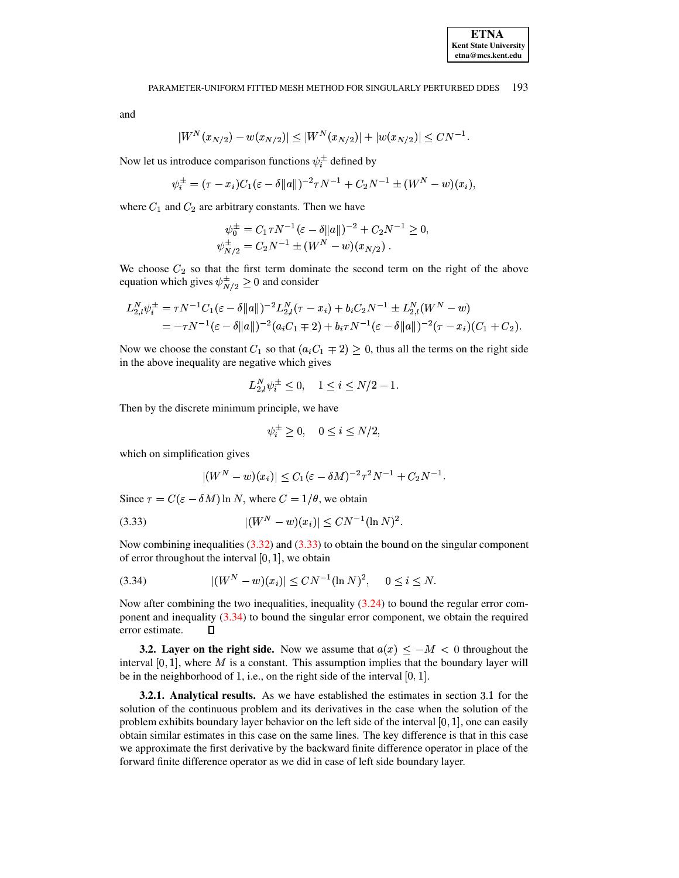$$
W^{N}(x_{N/2}) - w(x_{N/2})| \leq |W^{N}(x_{N/2})| + |w(x_{N/2})| \leq CN^{-1}
$$

Now let us introduce comparison functions  $\psi_i^{\pm}$  defined by

$$
\psi_i^{\pm} = (\tau - x_i)C_1(\varepsilon - \delta ||a||)^{-2}\tau N^{-1} + C_2 N^{-1} \pm (W^N - w)(x_i),
$$

where  $C_1$  and  $C_2$  are arbitrary constants. Then we have

$$
\psi_0^{\pm} = C_1 \tau N^{-1} (\varepsilon - \delta ||a||)^{-2} + C_2 N^{-1} \ge 0,
$$
  

$$
\psi_{N/2}^{\pm} = C_2 N^{-1} \pm (W^N - w)(x_{N/2}).
$$

We choose  $C_2$  so that the first term dominate the second term on the right of the above equation which gives  $\psi^{\pm}_{N/2} \geq 0$  and consider

$$
L_{2,l}^N \psi_i^{\pm} = \tau N^{-1} C_1 (\varepsilon - \delta ||a||)^{-2} L_{2,l}^N (\tau - x_i) + b_i C_2 N^{-1} \pm L_{2,l}^N (W^N - w)
$$
  
=  $-\tau N^{-1} (\varepsilon - \delta ||a||)^{-2} (a_i C_1 \mp 2) + b_i \tau N^{-1} (\varepsilon - \delta ||a||)^{-2} (\tau - x_i) (C_1 + C_2).$ 

Now we choose the constant  $C_1$  so that  $(a_i C_1 \mp 2) \ge 0$ , thus all the terms on the right side in the above inequality are negative which gives

$$
L_{2,l}^N \psi_i^{\pm} \leq 0, \quad 1 \leq i \leq N/2 - 1.
$$

Then by the discrete minimum principle, we have

$$
\psi_i^{\pm} \ge 0, \quad 0 \le i \le N/2,
$$

which on simplification gives

$$
|(W^N - w)(x_i)| \le C_1(\varepsilon - \delta M)^{-2} \tau^2 N^{-1} + C_2 N^{-1}.
$$

Since  $\tau = C(\varepsilon - \delta M) \ln N$ , where  $C = 1/\theta$ , we obtain

<span id="page-13-0"></span>
$$
|(W^N - w)(x_i)| \le CN^{-1}(\ln N)^2
$$

Now combining inequalities  $(3.32)$  and  $(3.33)$  to obtain the bound on the singular component of error throughout the interval  $[0, 1]$ , we obtain

<span id="page-13-1"></span>
$$
(3.34) \qquad |(W^N - w)(x_i)| \le CN^{-1}(\ln N)^2, \quad 0 \le i \le N
$$

Now after combining the two inequalities, inequality  $(3.24)$  to bound the regular error component and inequality  $(3.34)$  to bound the singular error component, we obtain the required error estimate.  $\Box$ 

**3.2.** Layer on the right side. Now we assume that  $a(x) < -M < 0$  throughout the interval  $[0, 1]$ , where M is a constant. This assumption implies that the boundary layer will be in the neighborhood of 1, i.e., on the right side of the interval  $[0, 1]$ .

**3.2.1.** Analytical results. As we have established the estimates in section 3.1 for the solution of the continuous problem and its derivatives in the case when the solution of the problem exhibits boundary layer behavior on the left side of the interval  $[0, 1]$ , one can easily obtain similar estimates in this case on the same lines. The key difference is that in this case we approximate the first derivative by the backward finite difference operator in place of the forward finite difference operator as we did in case of left side boundary layer.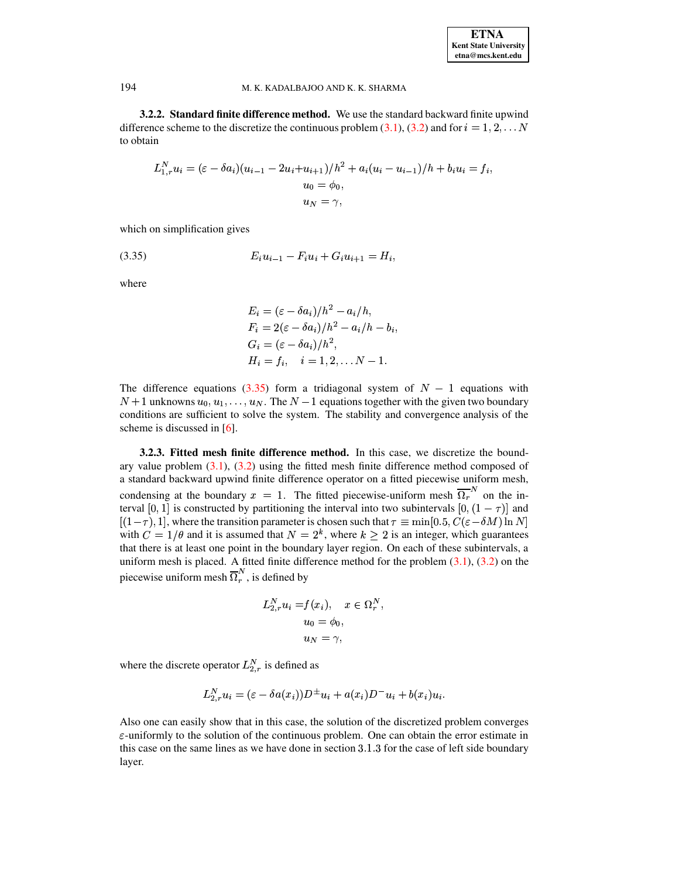3.2.2. Standard finite difference method. We use the standard backward finite upwind difference scheme to the discretize the continuous problem (3.1), (3.2) and for  $i = 1, 2, \dots N$ to obtain

$$
L_{1,r}^N u_i = (\varepsilon - \delta a_i)(u_{i-1} - 2u_i + u_{i+1})/h^2 + a_i(u_i - u_{i-1})/h + b_i u_i = f_i,
$$
  
\n
$$
u_0 = \phi_0,
$$
  
\n
$$
u_N = \gamma,
$$

which on simplification gives

<span id="page-14-0"></span>
$$
(3.35) \t E_i u_{i-1} - F_i u_i + G_i u_{i+1} = H_i,
$$

where

$$
E_i = (\varepsilon - \delta a_i)/h^2 - a_i/h,
$$
  
\n
$$
F_i = 2(\varepsilon - \delta a_i)/h^2 - a_i/h - b_i,
$$
  
\n
$$
G_i = (\varepsilon - \delta a_i)/h^2,
$$
  
\n
$$
H_i = f_i, \quad i = 1, 2, \dots N - 1.
$$

The difference equations (3.35) form a tridiagonal system of  $N-1$  equations with  $N+1$  unknowns  $u_0, u_1, \ldots, u_N$ . The  $N-1$  equations together with the given two boundary conditions are sufficient to solve the system. The stability and convergence analysis of the scheme is discussed in  $[6]$ .

3.2.3. Fitted mesh finite difference method. In this case, we discretize the boundary value problem  $(3.1)$ ,  $(3.2)$  using the fitted mesh finite difference method composed of a standard backward upwind finite difference operator on a fitted piecewise uniform mesh, condensing at the boundary  $x = 1$ . The fitted piecewise-uniform mesh  $\overline{\Omega_r}^N$  on the interval [0, 1] is constructed by partitioning the interval into two subintervals  $[0, (1 - \tau)]$  and  $[(1-\tau),1]$ , where the transition parameter is chosen such that  $\tau \equiv \min[0.5, C(\varepsilon - \delta M) \ln N]$ with  $C = 1/\theta$  and it is assumed that  $N = 2^k$ , where  $k \ge 2$  is an integer, which guarantees that there is at least one point in the boundary layer region. On each of these subintervals, a uniform mesh is placed. A fitted finite difference method for the problem  $(3.1)$ ,  $(3.2)$  on the piecewise uniform mesh  $\overline{\Omega}_r^N$ , is defined by

$$
L_{2,r}^N u_i = f(x_i), \quad x \in \Omega_r^N,
$$
  

$$
u_0 = \phi_0,
$$
  

$$
u_N = \gamma,
$$

where the discrete operator  $L_{2r}^{N}$  is defined as

$$
L_{2,r}^N u_i = (\varepsilon - \delta a(x_i))D^{\pm} u_i + a(x_i)D^{-} u_i + b(x_i)u_i.
$$

Also one can easily show that in this case, the solution of the discretized problem converges  $\varepsilon$ -uniformly to the solution of the continuous problem. One can obtain the error estimate in this case on the same lines as we have done in section 3.1.3 for the case of left side boundary layer.

194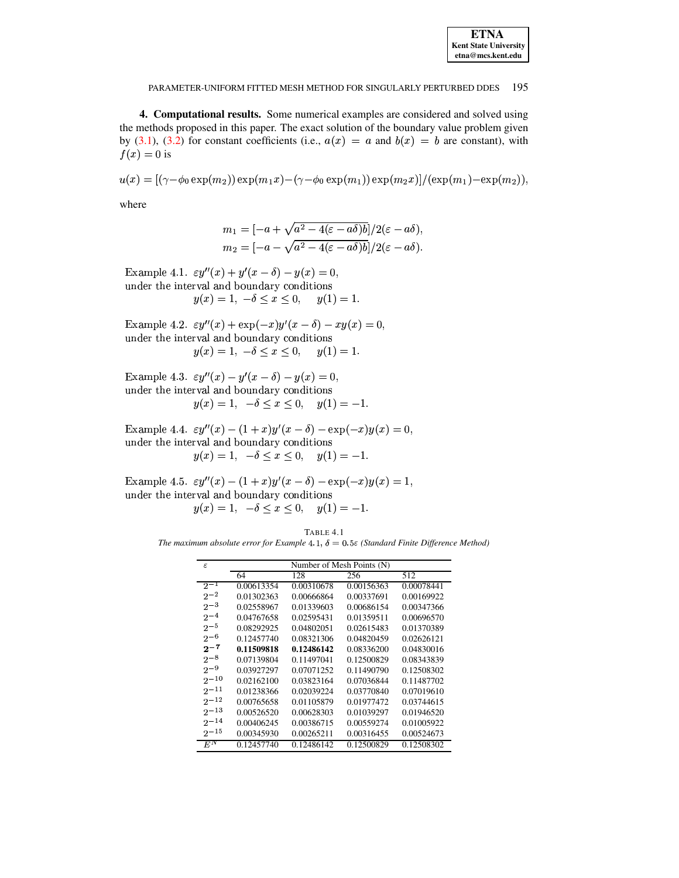| <b>ETNA</b>                  |
|------------------------------|
| <b>Kent State University</b> |
| etna@mcs.kent.edu            |

4. Computational results. Some numerical examples are considered and solved using the methods proposed in this paper. The exact solution of the boundary value problem given by (3.1), (3.2) for constant coefficients (i.e.,  $a(x) = a$  and  $b(x) = b$  are constant), with  $f(x) = 0$  is

$$
u(x) = [(\gamma - \phi_0 \exp(m_2)) \exp(m_1 x) - (\gamma - \phi_0 \exp(m_1)) \exp(m_2 x)]/(\exp(m_1) - \exp(m_2)),
$$

where

$$
m_1 = \frac{-a + \sqrt{a^2 - 4(\varepsilon - a\delta)b}}{2} = \frac{-a - \sqrt{a^2 - 4(\varepsilon - a\delta)b}}{2} = \frac{a\delta}{2},
$$

Example 4.1.  $\varepsilon y''(x) + y'(x - \delta) - y(x) = 0$ , under the interval and boundary conditions  $y(x) = 1, -\delta \le x \le 0, \quad y(1) = 1.$ 

Example 4.2.  $\varepsilon y''(x) + \exp(-x)y'(x-\delta) - xy(x) = 0$ , under the interval and boundary conditions  $y(x) = 1, -\delta \le x \le 0, \quad y(1) = 1.$ 

Example 4.3.  $\varepsilon y''(x) - y'(x - \delta) - y(x) = 0$ , under the interval and boundary conditions  $y(x) = 1, -\delta \le x \le 0, y(1) = -1.$ 

Example 4.4.  $\varepsilon y''(x) - (1+x)y'(x-\delta) - \exp(-x)y(x) = 0,$ under the interval and boundary conditions  $y(x) = 1, -\delta \le x \le 0, y(1) = -1.$ 

Example 4.5.  $\varepsilon y''(x) - (1+x)y'(x-\delta) - \exp(-x)y(x) = 1$ , under the interval and boundary conditions

 $y(x) = 1, -\delta \leq x \leq 0, y(1) = -1.$ 

TABLE 4.1 The maximum absolute error for Example 4.1,  $\delta = 0.5\varepsilon$  (Standard Finite Difference Method)

| F.               | Number of Mesh Points (N) |            |            |            |
|------------------|---------------------------|------------|------------|------------|
|                  | 64                        | 128        | 256        | 512        |
| $2^{-1}$         | 0.00613354                | 0.00310678 | 0.00156363 | 0.00078441 |
| $2^{-2}$         | 0.01302363                | 0.00666864 | 0.00337691 | 0.00169922 |
| $2^{-3}$         | 0.02558967                | 0.01339603 | 0.00686154 | 0.00347366 |
| $2^{-4}$         | 0.04767658                | 0.02595431 | 0.01359511 | 0.00696570 |
| $2^{-5}$         | 0.08292925                | 0.04802051 | 0.02615483 | 0.01370389 |
| $2 - 6$          | 0.12457740                | 0.08321306 | 0.04820459 | 0.02626121 |
| $2 - 7$          | 0.11509818                | 0.12486142 | 0.08336200 | 0.04830016 |
| $2 - 8$          | 0.07139804                | 0.11497041 | 0.12500829 | 0.08343839 |
| $2 - 9$          | 0.03927297                | 0.07071252 | 0.11490790 | 0.12508302 |
| $2 - 10$         | 0.02162100                | 0.03823164 | 0.07036844 | 0.11487702 |
| $2^{-11}$        | 0.01238366                | 0.02039224 | 0.03770840 | 0.07019610 |
| $2^{-12}$        | 0.00765658                | 0.01105879 | 0.01977472 | 0.03744615 |
| $2^{-13}$        | 0.00526520                | 0.00628303 | 0.01039297 | 0.01946520 |
| $2^{-14}$        | 0.00406245                | 0.00386715 | 0.00559274 | 0.01005922 |
| $2^{-15}$        | 0.00345930                | 0.00265211 | 0.00316455 | 0.00524673 |
| $\overline{E^N}$ | 0.12457740                | 0.12486142 | 0.12500829 | 0.12508302 |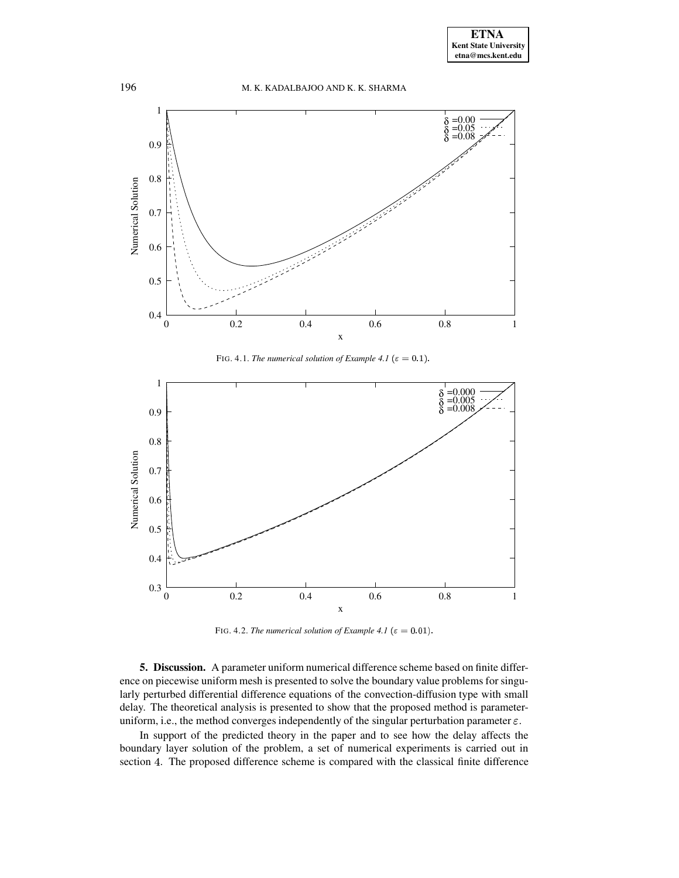

FIG. 4.1. *The numerical solution of Example 4.1* ( $\varepsilon = 0.1$ ).



FIG. 4.2. *The numerical solution of Example 4.1* ( $\varepsilon = 0.01$ ).

**5. Discussion.** A parameter uniform numerical difference scheme based on finite difference on piecewise uniform mesh is presented to solve the boundary value problems for singularly perturbed differential difference equations of the convection-diffusion type with small delay. The theoretical analysis is presented to show that the proposed method is parameteruniform, i.e., the method converges independently of the singular perturbation parameter  $\varepsilon$ .

In support of the predicted theory in the paper and to see how the delay affects the boundary layer solution of the problem, a set of numerical experiments is carried out in section 4. The proposed difference scheme is compared with the classical finite difference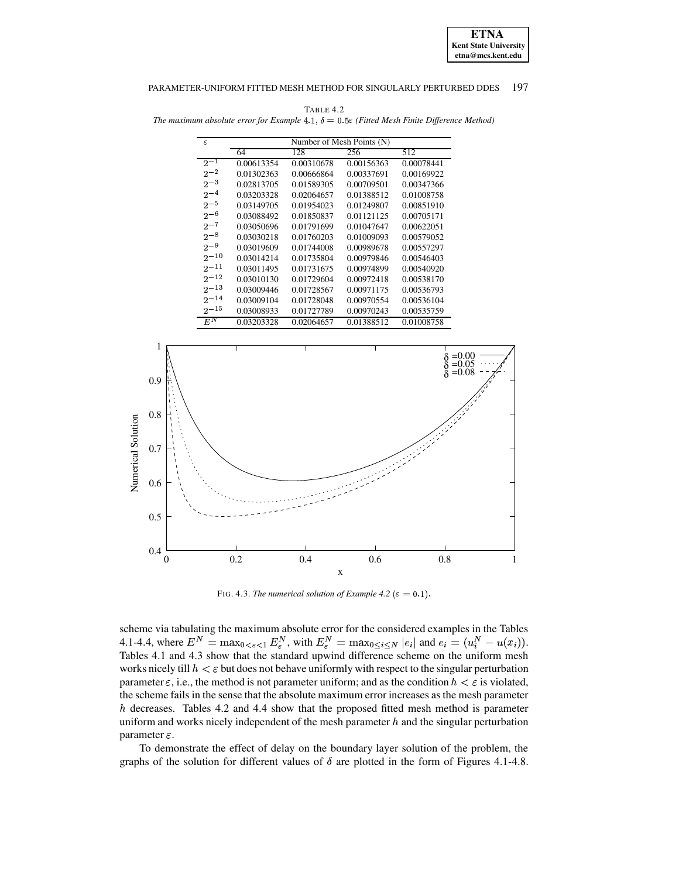

TABLE 4.2 The maximum absolute error for Example 4.1,  $\delta = 0.5\varepsilon$  (Fitted Mesh Finite Difference Method)

| F.                 | Number of Mesh Points (N) |            |            |            |
|--------------------|---------------------------|------------|------------|------------|
|                    | 64                        | 128        | 256        | 512        |
| $2^{-1}$           | 0.00613354                | 0.00310678 | 0.00156363 | 0.00078441 |
| $2^{\sim}2$        | 0.01302363                | 0.00666864 | 0.00337691 | 0.00169922 |
| $2^{-3}$           | 0.02813705                | 0.01589305 | 0.00709501 | 0.00347366 |
| $2^{-4}$           | 0.03203328                | 0.02064657 | 0.01388512 | 0.01008758 |
| $2 - 5$            | 0.03149705                | 0.01954023 | 0.01249807 | 0.00851910 |
| $2 - 6$            | 0.03088492                | 0.01850837 | 0.01121125 | 0.00705171 |
| $2 - 7$            | 0.03050696                | 0.01791699 | 0.01047647 | 0.00622051 |
| $2 - 8$            | 0.03030218                | 0.01760203 | 0.01009093 | 0.00579052 |
| $2 - 9$            | 0.03019609                | 0.01744008 | 0.00989678 | 0.00557297 |
| $2^{-10}$          | 0.03014214                | 0.01735804 | 0.00979846 | 0.00546403 |
| $2 - 11$           | 0.03011495                | 0.01731675 | 0.00974899 | 0.00540920 |
| $2 - 12$           | 0.03010130                | 0.01729604 | 0.00972418 | 0.00538170 |
| $2 - 13$           | 0.03009446                | 0.01728567 | 0.00971175 | 0.00536793 |
| $2 - 14$           | 0.03009104                | 0.01728048 | 0.00970554 | 0.00536104 |
| $2^{-15}$          | 0.03008933                | 0.01727789 | 0.00970243 | 0.00535759 |
| $E^{\overline{N}}$ | 0.03203328                | 0.02064657 | 0.01388512 | 0.01008758 |



FIG. 4.3. The numerical solution of Example 4.2 ( $\varepsilon = 0.1$ ).

scheme via tabulating the maximum absolute error for the considered examples in the Tables 4.1-4.4, where  $E^N = \max_{0 \le \epsilon < 1} E^N_{\epsilon}$ , with  $E^N_{\epsilon} = \max_{0 \le i \le N} |e_i|$  and  $e_i = (u_i^N - u(x_i))$ . Tables 4.1 and 4.3 show that the standard upwind difference scheme on the uniform mesh works nicely till  $h < \varepsilon$  but does not behave uniformly with respect to the singular perturbation parameter  $\varepsilon$ , i.e., the method is not parameter uniform; and as the condition  $h < \varepsilon$  is violated, the scheme fails in the sense that the absolute maximum error increases as the mesh parameter  $h$  decreases. Tables 4.2 and 4.4 show that the proposed fitted mesh method is parameter uniform and works nicely independent of the mesh parameter  $h$  and the singular perturbation parameter  $\varepsilon$ .

To demonstrate the effect of delay on the boundary layer solution of the problem, the graphs of the solution for different values of  $\delta$  are plotted in the form of Figures 4.1-4.8.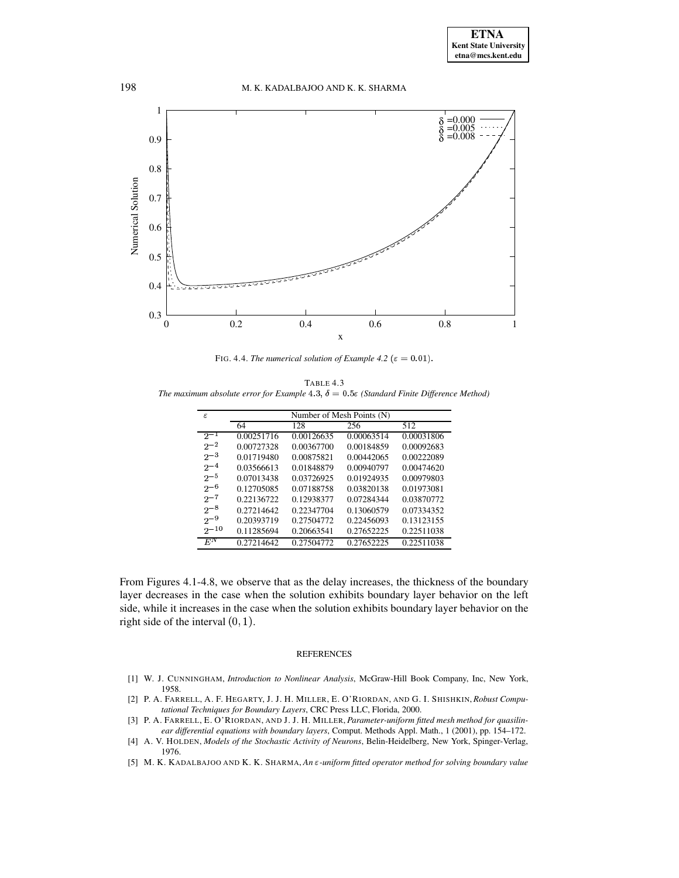

FIG. 4.4. *The numerical solution of Example* 4.2 ( $\varepsilon = 0.01$ ).

TABLE 4.3 The maximum absolute error for Example  $4.3$ ,  $\delta = 0.5$  (Standard Finite Difference Method)

| ε         | Number of Mesh Points (N) |            |            |                         |
|-----------|---------------------------|------------|------------|-------------------------|
|           | 64                        | 128        | 256        | 512                     |
| $2^{-1}$  | 0.00251716                | 0.00126635 | 0.00063514 | 0.00031806              |
| $2^{-2}$  | 0.00727328                | 0.00367700 | 0.00184859 | 0.00092683              |
| $2^{-3}$  | 0.01719480                | 0.00875821 | 0.00442065 | 0.00222089              |
| $2^{-4}$  | 0.03566613                | 0.01848879 | 0.00940797 | 0.00474620              |
| $2^{-5}$  | 0.07013438                | 0.03726925 | 0.01924935 | 0.00979803              |
| $2 - 6$   | 0.12705085                | 0.07188758 | 0.03820138 | 0.01973081              |
| $2^{-7}$  | 0.22136722                | 0.12938377 | 0.07284344 | 0.03870772              |
| $2^{-8}$  | 0.27214642                | 0.22347704 | 0.13060579 | 0.07334352              |
| $2^{-9}$  | 0.20393719                | 0.27504772 | 0.22456093 | 0.13123155              |
| $2^{-10}$ | 0.11285694                | 0.20663541 | 0.27652225 | 0.22511038              |
| $E^N$     | 0.27214642                | 0.27504772 | 0.27652225 | $\overline{0.22511038}$ |

From Figures 4.1-4.8, we observe that as the delay increases, the thickness of the boundary layer decreases in the case when the solution exhibits boundary layer behavior on the left side, while it increases in the case when the solution exhibits boundary layer behavior on the right side of the interval  $(0, 1)$ .

### REFERENCES

- <span id="page-18-1"></span>[1] W. J. CUNNINGHAM, *Introduction to Nonlinear Analysis*, McGraw-Hill Book Company, Inc, New York, 1958.
- <span id="page-18-4"></span>[2] P. A. FARRELL, A. F. HEGARTY, J. J. H. MILLER, E. O'RIORDAN, AND G. I. SHISHKIN,*Robust Computational Techniques for Boundary Layers*, CRC Press LLC, Florida, 2000.
- <span id="page-18-3"></span>[3] P. A. FARRELL, E. O'RIORDAN, AND J. J. H. MILLER, *Parameter-uniform fitted mesh method for quasilinear differential equations with boundary layers*, Comput. Methods Appl. Math., 1 (2001), pp. 154–172.
- <span id="page-18-0"></span>[4] A. V. HOLDEN, *Models of the Stochastic Activity of Neurons*, Belin-Heidelberg, New York, Spinger-Verlag, 1976.
- <span id="page-18-2"></span>[5] M. K. KADALBAJOO AND K. K. SHARMA, *An -uniform fitted operator method for solving boundary value*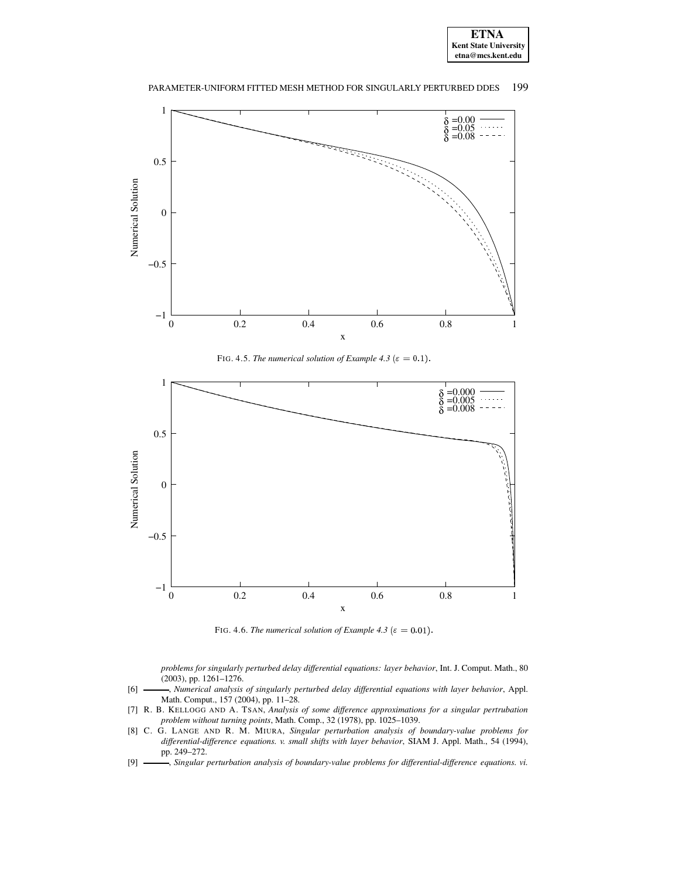



FIG. 4.5. *The numerical solution of Example 4.3* ( $\varepsilon = 0.1$ ).



FIG. 4.6. *The numerical solution of Example 4.3* ( $\varepsilon = 0.01$ ).

*problems for singularly perturbed delay differential equations: layer behavior*, Int. J. Comput. Math., 80 (2003), pp. 1261–1276.

- <span id="page-19-2"></span>[6] , *Numerical analysis of singularly perturbed delay differential equations with layer behavior*, Appl. Math. Comput., 157 (2004), pp. 11–28.
- <span id="page-19-3"></span>[7] R. B. KELLOGG AND A. TSAN, *Analysis of some difference approximations for a singular pertrubation problem without turning points*, Math. Comp., 32 (1978), pp. 1025–1039.
- <span id="page-19-0"></span>[8] C. G. LANGE AND R. M. MIURA, *Singular perturbation analysis of boundary-value problems for differential-difference equations. v. small shifts with layer behavior*, SIAM J. Appl. Math., 54 (1994), pp. 249–272.
- <span id="page-19-1"></span>[9] , *Singular perturbation analysis of boundary-value problems for differential-difference equations. vi.*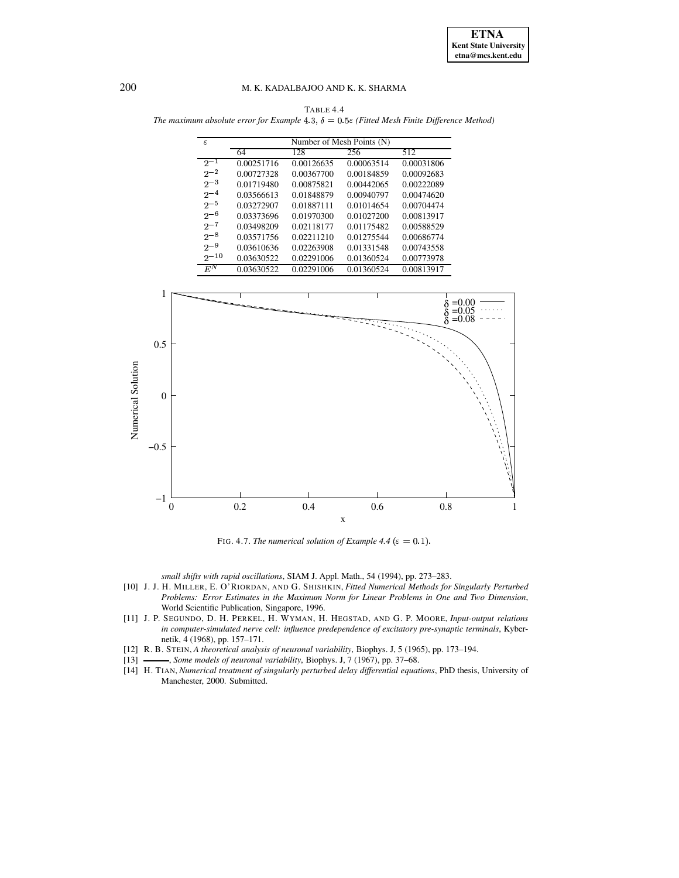TABLE 4.4 The maximum absolute error for Example 4.3,  $\delta = 0.5\varepsilon$  (Fitted Mesh Finite Difference Method)

| $\epsilon$ | Number of Mesh Points (N) |            |            |            |
|------------|---------------------------|------------|------------|------------|
|            | 64                        | 128        | 256        | 512        |
| $2 - 1$    | 0.00251716                | 0.00126635 | 0.00063514 | 0.00031806 |
| $2^{-2}$   | 0.00727328                | 0.00367700 | 0.00184859 | 0.00092683 |
| $2^{-3}$   | 0.01719480                | 0.00875821 | 0.00442065 | 0.00222089 |
| $2^{-4}$   | 0.03566613                | 0.01848879 | 0.00940797 | 0.00474620 |
| $2 - 5$    | 0.03272907                | 0.01887111 | 0.01014654 | 0.00704474 |
| $2 - 6$    | 0.03373696                | 0.01970300 | 0.01027200 | 0.00813917 |
| $2 - 7$    | 0.03498209                | 0.02118177 | 0.01175482 | 0.00588529 |
| $2^{-8}$   | 0.03571756                | 0.02211210 | 0.01275544 | 0.00686774 |
| $2 - 9$    | 0.03610636                | 0.02263908 | 0.01331548 | 0.00743558 |
| $2^{-10}$  | 0.03630522                | 0.02291006 | 0.01360524 | 0.00773978 |
| $E^N$      | 0.03630522                | 0.02291006 | 0.01360524 | 0.00813917 |



FIG. 4.7. *The numerical solution of Example 4.4* ( $\varepsilon = 0.1$ ).

*small shifts with rapid oscillations*, SIAM J. Appl. Math., 54 (1994), pp. 273–283.

- <span id="page-20-4"></span>[10] J. J. H. MILLER, E. O'RIORDAN, AND G. SHISHKIN, *Fitted Numerical Methods for Singularly Perturbed Problems: Error Estimates in the Maximum Norm for Linear Problems in One and Two Dimension*, World Scientific Publication, Singapore, 1996.
- <span id="page-20-2"></span>[11] J. P. SEGUNDO, D. H. PERKEL, H. WYMAN, H. HEGSTAD, AND G. P. MOORE, *Input-output relations in computer-simulated nerve cell: influence predependence of excitatory pre-synaptic terminals*, Kybernetik, 4 (1968), pp. 157–171.
- <span id="page-20-1"></span><span id="page-20-0"></span>[12] R. B. STEIN, *A theoretical analysis of neuronal variability*, Biophys. J, 5 (1965), pp. 173–194.
- [13] , *Some models of neuronal variability*, Biophys. J, 7 (1967), pp. 37–68.
- <span id="page-20-3"></span>[14] H. TIAN, *Numerical treatment of singularly perturbed delay differential equations*, PhD thesis, University of Manchester, 2000. Submitted.